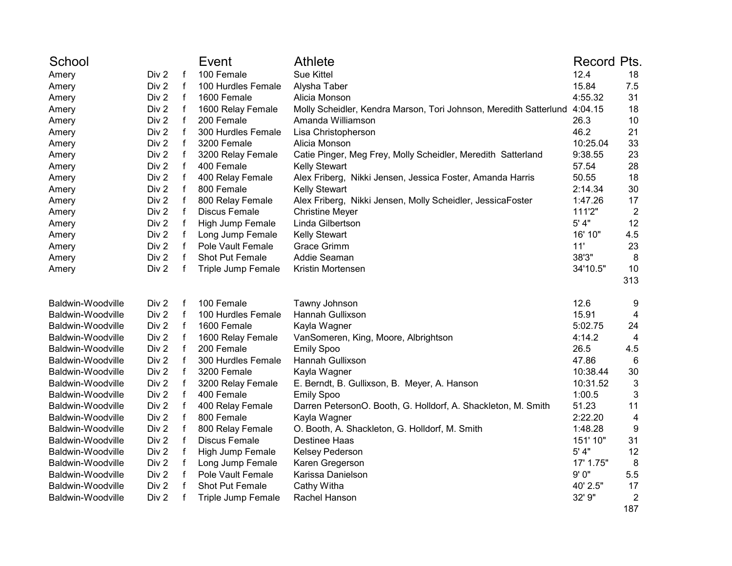| School            |       |              | Event                | <b>Athlete</b>                                                    | <b>Record Pts.</b> |                |
|-------------------|-------|--------------|----------------------|-------------------------------------------------------------------|--------------------|----------------|
| Amery             | Div 2 | $\mathsf{f}$ | 100 Female           | <b>Sue Kittel</b>                                                 | 12.4               | 18             |
| Amery             | Div 2 | $\mathbf f$  | 100 Hurdles Female   | Alysha Taber                                                      | 15.84              | 7.5            |
| Amery             | Div 2 | $\mathsf f$  | 1600 Female          | Alicia Monson                                                     | 4:55.32            | 31             |
| Amery             | Div 2 | $\mathsf f$  | 1600 Relay Female    | Molly Scheidler, Kendra Marson, Tori Johnson, Meredith Satterlund | 4:04.15            | 18             |
| Amery             | Div 2 | $\mathsf f$  | 200 Female           | Amanda Williamson                                                 | 26.3               | 10             |
| Amery             | Div 2 | $\mathsf f$  | 300 Hurdles Female   | Lisa Christopherson                                               | 46.2               | 21             |
| Amery             | Div 2 | $\mathsf f$  | 3200 Female          | Alicia Monson                                                     | 10:25.04           | 33             |
| Amery             | Div 2 | $\mathsf f$  | 3200 Relay Female    | Catie Pinger, Meg Frey, Molly Scheidler, Meredith Satterland      | 9:38.55            | 23             |
| Amery             | Div 2 | $\mathsf f$  | 400 Female           | <b>Kelly Stewart</b>                                              | 57.54              | 28             |
| Amery             | Div 2 | f            | 400 Relay Female     | Alex Friberg, Nikki Jensen, Jessica Foster, Amanda Harris         | 50.55              | 18             |
| Amery             | Div 2 | f            | 800 Female           | <b>Kelly Stewart</b>                                              | 2:14.34            | 30             |
| Amery             | Div 2 | $\mathsf f$  | 800 Relay Female     | Alex Friberg, Nikki Jensen, Molly Scheidler, JessicaFoster        | 1:47.26            | 17             |
| Amery             | Div 2 | $\mathbf f$  | <b>Discus Female</b> | <b>Christine Meyer</b>                                            | 111'2"             | $\overline{2}$ |
| Amery             | Div 2 | $\mathbf{f}$ | High Jump Female     | Linda Gilbertson                                                  | 5' 4"              | 12             |
| Amery             | Div 2 | f            | Long Jump Female     | <b>Kelly Stewart</b>                                              | 16' 10"            | 4.5            |
| Amery             | Div 2 | f            | Pole Vault Female    | <b>Grace Grimm</b>                                                | 11'                | 23             |
| Amery             | Div 2 | $\mathbf f$  | Shot Put Female      | Addie Seaman                                                      | 38'3"              | 8              |
| Amery             | Div 2 | f            | Triple Jump Female   | Kristin Mortensen                                                 | 34'10.5"           | 10             |
|                   |       |              |                      |                                                                   |                    | 313            |
| Baldwin-Woodville | Div 2 | f            | 100 Female           | Tawny Johnson                                                     | 12.6               | 9              |
| Baldwin-Woodville | Div 2 | f            | 100 Hurdles Female   | Hannah Gullixson                                                  | 15.91              | 4              |
| Baldwin-Woodville | Div 2 | $\mathsf f$  | 1600 Female          | Kayla Wagner                                                      | 5:02.75            | 24             |
| Baldwin-Woodville | Div 2 | f            | 1600 Relay Female    | VanSomeren, King, Moore, Albrightson                              | 4:14.2             | 4              |
| Baldwin-Woodville | Div 2 | f            | 200 Female           | <b>Emily Spoo</b>                                                 | 26.5               | 4.5            |
| Baldwin-Woodville | Div 2 | $\mathbf{f}$ | 300 Hurdles Female   | Hannah Gullixson                                                  | 47.86              | 6              |
| Baldwin-Woodville | Div 2 | $\mathsf f$  | 3200 Female          | Kayla Wagner                                                      | 10:38.44           | 30             |
| Baldwin-Woodville | Div 2 | $\mathsf f$  | 3200 Relay Female    | E. Berndt, B. Gullixson, B. Meyer, A. Hanson                      | 10:31.52           | $\mathbf{3}$   |
| Baldwin-Woodville | Div 2 | $\mathsf f$  | 400 Female           | <b>Emily Spoo</b>                                                 | 1:00.5             | 3              |
| Baldwin-Woodville | Div 2 | f            | 400 Relay Female     | Darren PetersonO. Booth, G. Holldorf, A. Shackleton, M. Smith     | 51.23              | 11             |
| Baldwin-Woodville | Div 2 | f            | 800 Female           | Kayla Wagner                                                      | 2:22.20            | 4              |
| Baldwin-Woodville | Div 2 | $\mathsf{f}$ | 800 Relay Female     | O. Booth, A. Shackleton, G. Holldorf, M. Smith                    | 1:48.28            | 9              |
| Baldwin-Woodville | Div 2 | $\mathbf f$  | <b>Discus Female</b> | Destinee Haas                                                     | 151' 10"           | 31             |
| Baldwin-Woodville | Div 2 | $\mathsf f$  | High Jump Female     | Kelsey Pederson                                                   | 5' 4"              | 12             |
| Baldwin-Woodville | Div 2 | $\mathsf f$  | Long Jump Female     | Karen Gregerson                                                   | 17' 1.75"          | 8              |
| Baldwin-Woodville | Div 2 | $\mathsf f$  | Pole Vault Female    | Karissa Danielson                                                 | 9'0''              | 5.5            |
| Baldwin-Woodville | Div 2 | f            | Shot Put Female      | Cathy Witha                                                       | 40' 2.5"           | 17             |
| Baldwin-Woodville | Div 2 | f            | Triple Jump Female   | Rachel Hanson                                                     | 32' 9"             | $\overline{2}$ |
|                   |       |              |                      |                                                                   |                    | 187            |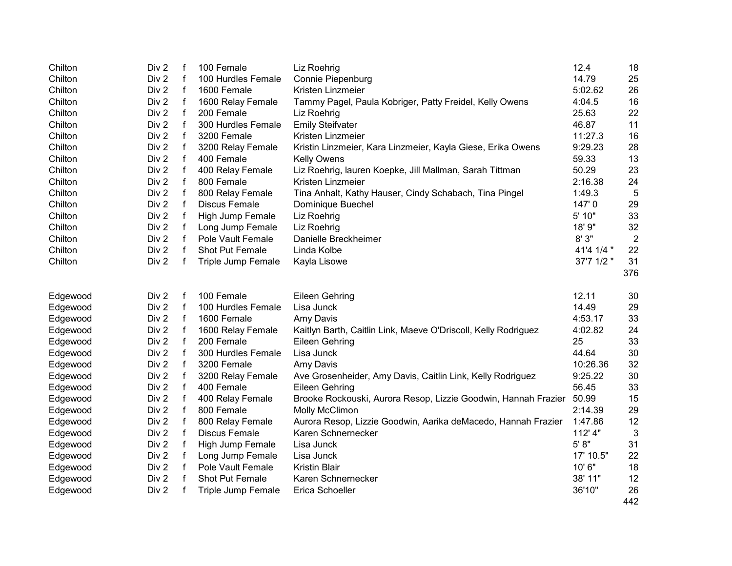| Chilton  | Div 2            | f            | 100 Female           | Liz Roehrig                                                    | 12.4       | 18             |
|----------|------------------|--------------|----------------------|----------------------------------------------------------------|------------|----------------|
| Chilton  | Div 2            | f            | 100 Hurdles Female   | Connie Piepenburg                                              | 14.79      | 25             |
| Chilton  | Div 2            | f            | 1600 Female          | Kristen Linzmeier                                              | 5:02.62    | 26             |
| Chilton  | Div 2            | $\mathsf f$  | 1600 Relay Female    | Tammy Pagel, Paula Kobriger, Patty Freidel, Kelly Owens        | 4:04.5     | 16             |
| Chilton  | Div 2            | f            | 200 Female           | Liz Roehrig                                                    | 25.63      | 22             |
| Chilton  | Div 2            | f            | 300 Hurdles Female   | <b>Emily Steifvater</b>                                        | 46.87      | 11             |
| Chilton  | Div 2            | f            | 3200 Female          | Kristen Linzmeier                                              | 11:27.3    | 16             |
| Chilton  | Div 2            | f            | 3200 Relay Female    | Kristin Linzmeier, Kara Linzmeier, Kayla Giese, Erika Owens    | 9:29.23    | 28             |
| Chilton  | Div 2            | f            | 400 Female           | <b>Kelly Owens</b>                                             | 59.33      | 13             |
| Chilton  | Div <sub>2</sub> | f            | 400 Relay Female     | Liz Roehrig, lauren Koepke, Jill Mallman, Sarah Tittman        | 50.29      | 23             |
| Chilton  | Div 2            | f            | 800 Female           | Kristen Linzmeier                                              | 2:16.38    | 24             |
| Chilton  | Div 2            | f            | 800 Relay Female     | Tina Anhalt, Kathy Hauser, Cindy Schabach, Tina Pingel         | 1:49.3     | 5              |
| Chilton  | Div 2            | $\mathsf{f}$ | <b>Discus Female</b> | Dominique Buechel                                              | 147'0      | 29             |
| Chilton  | Div 2            | f            | High Jump Female     | Liz Roehrig                                                    | 5' 10"     | 33             |
| Chilton  | Div 2            | f            | Long Jump Female     | Liz Roehrig                                                    | 18' 9"     | 32             |
| Chilton  | Div 2            | f            | Pole Vault Female    | Danielle Breckheimer                                           | 8'3"       | $\overline{2}$ |
| Chilton  | Div 2            | f            | Shot Put Female      | Linda Kolbe                                                    | 41'4 1/4 " | 22             |
| Chilton  | Div 2            | f            | Triple Jump Female   | Kayla Lisowe                                                   | 37'7 1/2"  | 31             |
|          |                  |              |                      |                                                                |            | 376            |
|          |                  |              |                      |                                                                |            |                |
|          |                  |              |                      |                                                                |            |                |
| Edgewood | Div 2            | f            | 100 Female           | Eileen Gehring                                                 | 12.11      | 30             |
| Edgewood | Div 2            | f            | 100 Hurdles Female   | Lisa Junck                                                     | 14.49      | 29             |
| Edgewood | Div 2            | f            | 1600 Female          | Amy Davis                                                      | 4:53.17    | 33             |
| Edgewood | Div 2            | $\mathsf f$  | 1600 Relay Female    | Kaitlyn Barth, Caitlin Link, Maeve O'Driscoll, Kelly Rodriguez | 4:02.82    | 24             |
| Edgewood | Div 2            | f            | 200 Female           | Eileen Gehring                                                 | 25         | 33             |
| Edgewood | Div 2            | f            | 300 Hurdles Female   | Lisa Junck                                                     | 44.64      | 30             |
| Edgewood | Div 2            | f            | 3200 Female          | Amy Davis                                                      | 10:26.36   | 32             |
| Edgewood | Div 2            | f            | 3200 Relay Female    | Ave Grosenheider, Amy Davis, Caitlin Link, Kelly Rodriguez     | 9:25.22    | 30             |
| Edgewood | Div 2            | f            | 400 Female           | Eileen Gehring                                                 | 56.45      | 33             |
| Edgewood | Div 2            | f            | 400 Relay Female     | Brooke Rockouski, Aurora Resop, Lizzie Goodwin, Hannah Frazier | 50.99      | 15             |
| Edgewood | Div 2            | f            | 800 Female           | Molly McClimon                                                 | 2:14.39    | 29             |
| Edgewood | Div 2            | f            | 800 Relay Female     | Aurora Resop, Lizzie Goodwin, Aarika deMacedo, Hannah Frazier  | 1:47.86    | 12             |
| Edgewood | Div 2            | f            | <b>Discus Female</b> | Karen Schnernecker                                             | 112' 4"    | 3              |
| Edgewood | Div 2            | f            | High Jump Female     | Lisa Junck                                                     | 5' 8''     | 31             |
| Edgewood | Div 2            | f            | Long Jump Female     | Lisa Junck                                                     | 17' 10.5"  | 22             |
| Edgewood | Div 2            | f            | Pole Vault Female    | <b>Kristin Blair</b>                                           | 10' 6"     | 18             |
| Edgewood | Div 2            | $\mathbf f$  | Shot Put Female      | Karen Schnernecker                                             | 38' 11"    | 12             |
| Edgewood | Div 2            | f            | Triple Jump Female   | Erica Schoeller                                                | 36'10"     | 26             |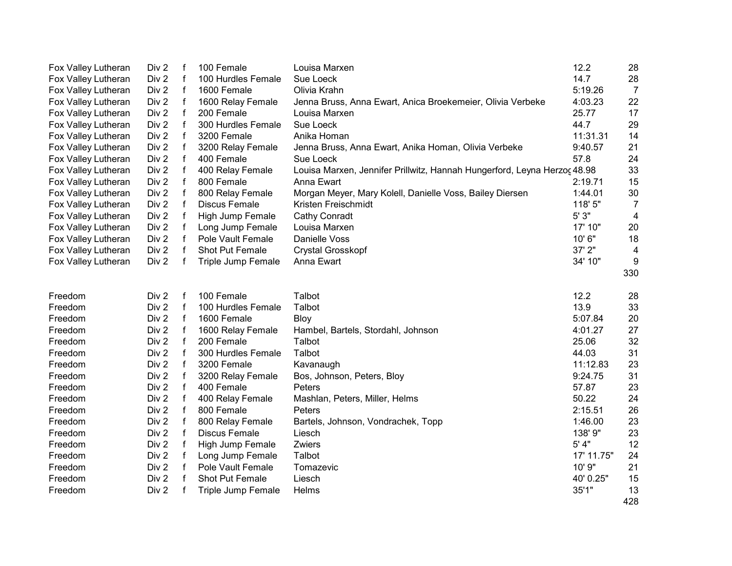| Fox Valley Lutheran | Div 2            | f            | 100 Female           | Louisa Marxen                                                            | 12.2       | 28             |
|---------------------|------------------|--------------|----------------------|--------------------------------------------------------------------------|------------|----------------|
| Fox Valley Lutheran | Div 2            | $\mathbf f$  | 100 Hurdles Female   | Sue Loeck                                                                | 14.7       | 28             |
| Fox Valley Lutheran | Div 2            | f            | 1600 Female          | Olivia Krahn                                                             | 5:19.26    | $\overline{7}$ |
| Fox Valley Lutheran | Div 2            | $\mathsf f$  | 1600 Relay Female    | Jenna Bruss, Anna Ewart, Anica Broekemeier, Olivia Verbeke               | 4:03.23    | 22             |
| Fox Valley Lutheran | Div 2            | $\mathsf f$  | 200 Female           | Louisa Marxen                                                            | 25.77      | 17             |
| Fox Valley Lutheran | Div 2            | $\mathsf f$  | 300 Hurdles Female   | Sue Loeck                                                                | 44.7       | 29             |
| Fox Valley Lutheran | Div 2            | f            | 3200 Female          | Anika Homan                                                              | 11:31.31   | 14             |
| Fox Valley Lutheran | Div 2            | f            | 3200 Relay Female    | Jenna Bruss, Anna Ewart, Anika Homan, Olivia Verbeke                     | 9:40.57    | 21             |
| Fox Valley Lutheran | Div 2            | f            | 400 Female           | Sue Loeck                                                                | 57.8       | 24             |
| Fox Valley Lutheran | Div 2            | f            | 400 Relay Female     | Louisa Marxen, Jennifer Prillwitz, Hannah Hungerford, Leyna Herzoc 48.98 |            | 33             |
| Fox Valley Lutheran | Div 2            | f            | 800 Female           | Anna Ewart                                                               | 2:19.71    | 15             |
| Fox Valley Lutheran | Div 2            | $\mathbf f$  | 800 Relay Female     | Morgan Meyer, Mary Kolell, Danielle Voss, Bailey Diersen                 | 1:44.01    | $30\,$         |
| Fox Valley Lutheran | Div 2            | f            | Discus Female        | Kristen Freischmidt                                                      | 118' 5"    | $\overline{7}$ |
| Fox Valley Lutheran | Div 2            | $\mathsf f$  | High Jump Female     | <b>Cathy Conradt</b>                                                     | $5'3"$     | 4              |
| Fox Valley Lutheran | Div 2            | $\mathsf f$  | Long Jump Female     | Louisa Marxen                                                            | 17' 10"    | 20             |
| Fox Valley Lutheran | Div 2            | f            | Pole Vault Female    | Danielle Voss                                                            | 10'6"      | 18             |
| Fox Valley Lutheran | Div 2            | f            | Shot Put Female      | <b>Crystal Grosskopf</b>                                                 | 37' 2"     | $\overline{4}$ |
| Fox Valley Lutheran | Div 2            | f            | Triple Jump Female   | Anna Ewart                                                               | 34' 10"    | 9              |
|                     |                  |              |                      |                                                                          |            | 330            |
|                     |                  |              |                      |                                                                          |            |                |
| Freedom             | Div 2            | f            | 100 Female           | Talbot                                                                   | 12.2       | 28             |
| Freedom             | Div 2            | f            | 100 Hurdles Female   | Talbot                                                                   | 13.9       | 33             |
| Freedom             | Div 2            | $\mathsf f$  | 1600 Female          | <b>Bloy</b>                                                              | 5:07.84    | 20             |
| Freedom             | Div 2            | $\mathsf f$  | 1600 Relay Female    | Hambel, Bartels, Stordahl, Johnson                                       | 4:01.27    | 27             |
| Freedom             | Div 2            | $\mathsf f$  | 200 Female           | Talbot                                                                   | 25.06      | 32             |
| Freedom             | Div 2            | $\mathsf{f}$ | 300 Hurdles Female   | Talbot                                                                   | 44.03      | 31             |
| Freedom             | Div 2            | f            | 3200 Female          | Kavanaugh                                                                | 11:12.83   | 23             |
| Freedom             | Div 2            | f            | 3200 Relay Female    | Bos, Johnson, Peters, Bloy                                               | 9:24.75    | 31             |
| Freedom             | Div 2            | f            | 400 Female           | Peters                                                                   | 57.87      | 23             |
| Freedom             | Div 2            | $\mathbf{f}$ | 400 Relay Female     | Mashlan, Peters, Miller, Helms                                           | 50.22      | 24             |
| Freedom             | Div <sub>2</sub> | $\mathsf{f}$ | 800 Female           | Peters                                                                   | 2:15.51    | 26             |
| Freedom             | Div 2            | $\mathsf{f}$ | 800 Relay Female     | Bartels, Johnson, Vondrachek, Topp                                       | 1:46.00    | 23             |
| Freedom             | Div 2            | f            | <b>Discus Female</b> | Liesch                                                                   | 138' 9"    | 23             |
| Freedom             | Div 2            | f            | High Jump Female     | Zwiers                                                                   | $5'$ 4"    | 12             |
| Freedom             | Div 2            | f            | Long Jump Female     | Talbot                                                                   | 17' 11.75" | 24             |
| Freedom             | Div 2            | f            | Pole Vault Female    | Tomazevic                                                                | 10' 9"     | 21             |
| Freedom             | Div 2            | f            | Shot Put Female      | Liesch                                                                   | 40' 0.25"  | 15             |
| Freedom             | Div 2            | f            | Triple Jump Female   | Helms                                                                    | 35'1"      | 13             |
|                     |                  |              |                      |                                                                          |            | 428            |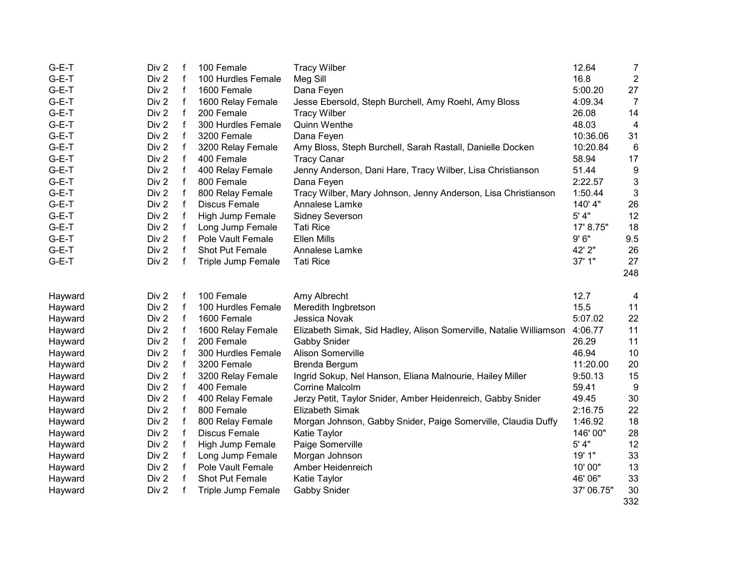| $G-E-T$            | Div <sub>2</sub> | f            | 100 Female           | <b>Tracy Wilber</b>                                                | 12.64      | $\overline{7}$   |
|--------------------|------------------|--------------|----------------------|--------------------------------------------------------------------|------------|------------------|
| $G-E-T$            | Div 2            | $\mathsf{f}$ | 100 Hurdles Female   | Meg Sill                                                           | 16.8       | $\boldsymbol{2}$ |
| $G-E-T$            | Div 2            | $\mathsf f$  | 1600 Female          | Dana Feyen                                                         | 5:00.20    | 27               |
| G-E-T              | Div <sub>2</sub> | f            | 1600 Relay Female    | Jesse Ebersold, Steph Burchell, Amy Roehl, Amy Bloss               | 4:09.34    | $\overline{7}$   |
| G-E-T              | Div 2            | f            | 200 Female           | <b>Tracy Wilber</b>                                                | 26.08      | 14               |
| G-E-T              | Div 2            | f            | 300 Hurdles Female   | Quinn Wenthe                                                       | 48.03      | $\overline{4}$   |
| G-E-T              | Div 2            | f            | 3200 Female          | Dana Feyen                                                         | 10:36.06   | 31               |
| G-E-T              | Div 2            | f            | 3200 Relay Female    | Amy Bloss, Steph Burchell, Sarah Rastall, Danielle Docken          | 10:20.84   | 6                |
| G-E-T              | Div 2            | $\mathbf f$  | 400 Female           | <b>Tracy Canar</b>                                                 | 58.94      | 17               |
| G-E-T              | Div 2            | f            | 400 Relay Female     | Jenny Anderson, Dani Hare, Tracy Wilber, Lisa Christianson         | 51.44      | 9                |
| G-E-T              | Div 2            | $\mathbf f$  | 800 Female           | Dana Feyen                                                         | 2:22.57    | 3                |
| G-E-T              | Div 2            | $\mathbf f$  | 800 Relay Female     | Tracy Wilber, Mary Johnson, Jenny Anderson, Lisa Christianson      | 1:50.44    | $\mathbf{3}$     |
| $G-E-T$            | Div 2            | f            | <b>Discus Female</b> | Annalese Lamke                                                     | 140' 4"    | 26               |
| G-E-T              | Div 2            | $\mathsf f$  | High Jump Female     | Sidney Severson                                                    | 5' 4"      | 12               |
| G-E-T              | Div 2            | f            | Long Jump Female     | <b>Tati Rice</b>                                                   | 17' 8.75"  | 18               |
| G-E-T              | Div 2            | f            | Pole Vault Female    | <b>Ellen Mills</b>                                                 | 9'6''      | 9.5              |
| G-E-T              | Div 2            | f            | Shot Put Female      | Annalese Lamke                                                     | 42' 2"     | 26               |
| G-E-T              | Div 2            | f            | Triple Jump Female   | <b>Tati Rice</b>                                                   | 37' 1"     | 27               |
|                    |                  |              |                      |                                                                    |            | 248              |
|                    |                  |              |                      |                                                                    |            |                  |
| Hayward            | Div 2            | f            | 100 Female           | Amy Albrecht                                                       | 12.7       | 4                |
| Hayward            | Div 2            | f            | 100 Hurdles Female   | Meredith Ingbretson                                                | 15.5       | 11               |
| Hayward            | Div 2            | f            | 1600 Female          | Jessica Novak                                                      | 5:07.02    | 22               |
| Hayward            | Div 2            | $\mathsf{f}$ | 1600 Relay Female    | Elizabeth Simak, Sid Hadley, Alison Somerville, Natalie Williamson | 4:06.77    | 11               |
| Hayward            | Div 2            | $\mathsf f$  | 200 Female           | <b>Gabby Snider</b>                                                | 26.29      | 11               |
| Hayward            | Div 2            | f            | 300 Hurdles Female   | Alison Somerville                                                  | 46.94      | 10               |
| Hayward            | Div 2            | f            | 3200 Female          | Brenda Bergum                                                      | 11:20.00   | 20               |
| Hayward            | Div 2            | $\mathsf f$  | 3200 Relay Female    | Ingrid Sokup, Nel Hanson, Eliana Malnourie, Hailey Miller          | 9:50.13    | 15               |
| Hayward            | Div 2            | f            | 400 Female           | Corrine Malcolm                                                    | 59.41      | 9                |
| Hayward            | Div <sub>2</sub> | $\mathsf f$  | 400 Relay Female     | Jerzy Petit, Taylor Snider, Amber Heidenreich, Gabby Snider        | 49.45      | 30               |
| Hayward            | Div 2            | $\mathsf f$  | 800 Female           | Elizabeth Simak                                                    | 2:16.75    | 22               |
| Hayward            |                  |              |                      |                                                                    |            | 18               |
| Hayward            | Div 2            | f            | 800 Relay Female     | Morgan Johnson, Gabby Snider, Paige Somerville, Claudia Duffy      | 1:46.92    |                  |
|                    | Div 2            | f            | <b>Discus Female</b> | Katie Taylor                                                       | 146' 00"   | 28               |
|                    | Div 2            | f            | High Jump Female     |                                                                    | 5' 4"      | 12               |
| Hayward<br>Hayward | Div 2            | f            | Long Jump Female     | Paige Somerville<br>Morgan Johnson                                 | 19' 1"     | 33               |
| Hayward            | Div 2            | $\mathsf f$  | Pole Vault Female    | Amber Heidenreich                                                  | 10' 00"    | 13               |
| Hayward            | Div 2            | $\mathbf f$  | Shot Put Female      | Katie Taylor                                                       | 46' 06"    | 33               |
| Hayward            | Div 2            | f            | Triple Jump Female   | <b>Gabby Snider</b>                                                | 37' 06.75" | 30               |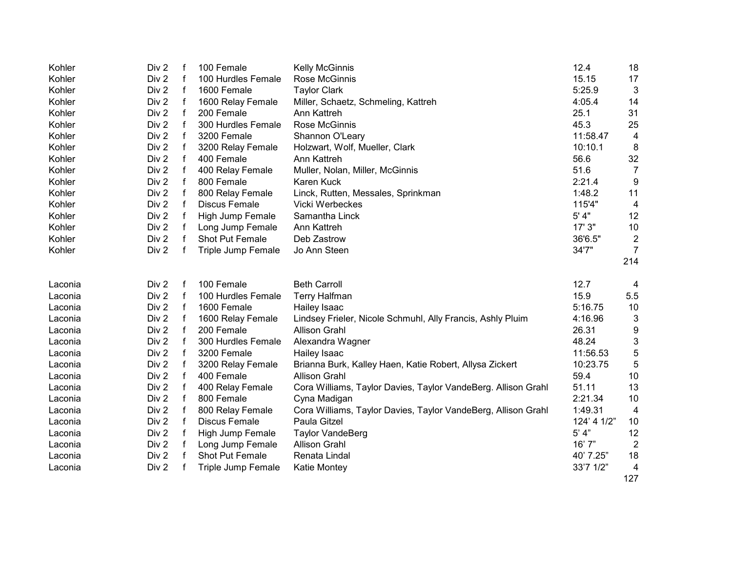| Kohler  | Div <sub>2</sub> | f | 100 Female           | <b>Kelly McGinnis</b>                                         | 12.4        | 18                      |
|---------|------------------|---|----------------------|---------------------------------------------------------------|-------------|-------------------------|
| Kohler  | Div 2            | f | 100 Hurdles Female   | Rose McGinnis                                                 | 15.15       | 17                      |
| Kohler  | Div 2            | f | 1600 Female          | <b>Taylor Clark</b>                                           | 5:25.9      | $\mathbf{3}$            |
| Kohler  | Div 2            | f | 1600 Relay Female    | Miller, Schaetz, Schmeling, Kattreh                           | 4:05.4      | 14                      |
| Kohler  | Div 2            | f | 200 Female           | Ann Kattreh                                                   | 25.1        | 31                      |
| Kohler  | Div 2            | f | 300 Hurdles Female   | Rose McGinnis                                                 | 45.3        | 25                      |
| Kohler  | Div 2            | f | 3200 Female          | Shannon O'Leary                                               | 11:58.47    | 4                       |
| Kohler  | Div 2            | f | 3200 Relay Female    | Holzwart, Wolf, Mueller, Clark                                | 10:10.1     | 8                       |
| Kohler  | Div 2            | f | 400 Female           | Ann Kattreh                                                   | 56.6        | 32                      |
| Kohler  | Div 2            | f | 400 Relay Female     | Muller, Nolan, Miller, McGinnis                               | 51.6        | $\overline{7}$          |
| Kohler  | Div <sub>2</sub> | f | 800 Female           | Karen Kuck                                                    | 2:21.4      | 9                       |
| Kohler  | Div <sub>2</sub> | f | 800 Relay Female     | Linck, Rutten, Messales, Sprinkman                            | 1:48.2      | 11                      |
| Kohler  | Div 2            | f | <b>Discus Female</b> | Vicki Werbeckes                                               | 115'4"      | $\overline{4}$          |
| Kohler  | Div 2            | f | High Jump Female     | Samantha Linck                                                | 5' 4"       | 12                      |
| Kohler  | Div 2            | f | Long Jump Female     | Ann Kattreh                                                   | 17' 3"      | 10                      |
| Kohler  | Div 2            | f | Shot Put Female      | Deb Zastrow                                                   | 36'6.5"     | $\overline{2}$          |
| Kohler  | Div 2            | f | Triple Jump Female   | Jo Ann Steen                                                  | 34'7"       | $\overline{7}$          |
|         |                  |   |                      |                                                               |             | 214                     |
|         |                  |   |                      |                                                               |             |                         |
| Laconia | Div 2            | f | 100 Female           | <b>Beth Carroll</b>                                           | 12.7        | $\overline{4}$          |
| Laconia | Div 2            | f | 100 Hurdles Female   | Terry Halfman                                                 | 15.9        | 5.5                     |
| Laconia | Div 2            | f | 1600 Female          | Hailey Isaac                                                  | 5:16.75     | 10                      |
| Laconia | Div 2            | f | 1600 Relay Female    | Lindsey Frieler, Nicole Schmuhl, Ally Francis, Ashly Pluim    | 4:16.96     | 3                       |
| Laconia | Div 2            | f | 200 Female           | Allison Grahl                                                 | 26.31       | 9                       |
| Laconia | Div 2            | f | 300 Hurdles Female   | Alexandra Wagner                                              | 48.24       | 3                       |
| Laconia | Div 2            | f | 3200 Female          | Hailey Isaac                                                  | 11:56.53    | 5                       |
| Laconia | Div 2            | f | 3200 Relay Female    | Brianna Burk, Kalley Haen, Katie Robert, Allysa Zickert       | 10:23.75    | 5                       |
| Laconia | Div 2            | f | 400 Female           | <b>Allison Grahl</b>                                          | 59.4        | 10                      |
| Laconia | Div 2            | f | 400 Relay Female     | Cora Williams, Taylor Davies, Taylor VandeBerg. Allison Grahl | 51.11       | 13                      |
| Laconia | Div 2            | f | 800 Female           | Cyna Madigan                                                  | 2:21.34     | 10                      |
| Laconia | Div 2            | f | 800 Relay Female     | Cora Williams, Taylor Davies, Taylor VandeBerg, Allison Grahl | 1:49.31     | $\overline{4}$          |
| Laconia | Div 2            | f | Discus Female        | Paula Gitzel                                                  | 124' 4 1/2" | 10                      |
| Laconia | Div 2            | f | High Jump Female     | <b>Taylor VandeBerg</b>                                       | 5' 4"       | 12                      |
| Laconia | Div 2            | f | Long Jump Female     | <b>Allison Grahl</b>                                          | 16'7''      | $\overline{2}$          |
| Laconia | Div 2            | f | Shot Put Female      | Renata Lindal                                                 | 40' 7.25"   | 18                      |
| Laconia | Div 2            |   | Triple Jump Female   | Katie Montey                                                  | 33'7 1/2"   | $\overline{\mathbf{4}}$ |
|         |                  |   |                      |                                                               |             | 127                     |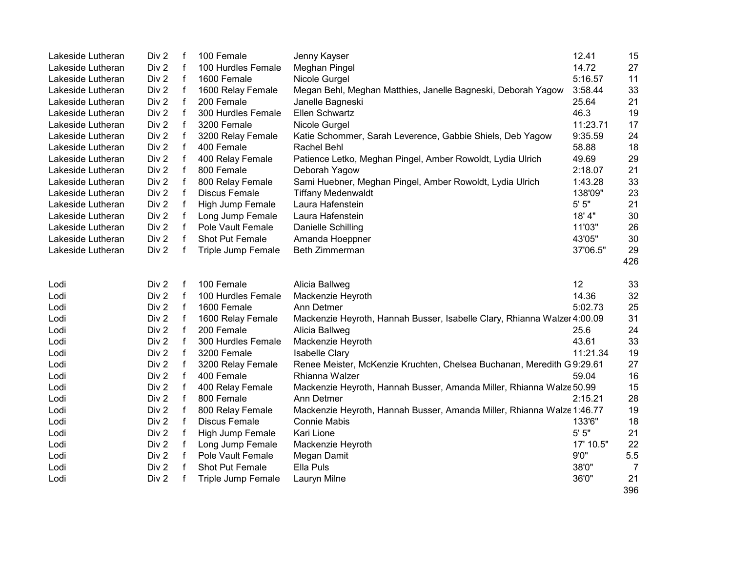| Lakeside Lutheran | Div 2            | f           | 100 Female           | Jenny Kayser                                                             | 12.41     | 15             |
|-------------------|------------------|-------------|----------------------|--------------------------------------------------------------------------|-----------|----------------|
| Lakeside Lutheran | Div <sub>2</sub> | $\mathsf f$ | 100 Hurdles Female   | Meghan Pingel                                                            | 14.72     | 27             |
| Lakeside Lutheran | Div 2            | $\mathsf f$ | 1600 Female          | Nicole Gurgel                                                            | 5:16.57   | 11             |
| Lakeside Lutheran | Div 2            | f           | 1600 Relay Female    | Megan Behl, Meghan Matthies, Janelle Bagneski, Deborah Yagow             | 3:58.44   | 33             |
| Lakeside Lutheran | Div 2            | f           | 200 Female           | Janelle Bagneski                                                         | 25.64     | 21             |
| Lakeside Lutheran | Div 2            | f           | 300 Hurdles Female   | Ellen Schwartz                                                           | 46.3      | 19             |
| Lakeside Lutheran | Div 2            | f           | 3200 Female          | Nicole Gurgel                                                            | 11:23.71  | 17             |
| Lakeside Lutheran | Div 2            | f           | 3200 Relay Female    | Katie Schommer, Sarah Leverence, Gabbie Shiels, Deb Yagow                | 9:35.59   | 24             |
| Lakeside Lutheran | Div 2            | f           | 400 Female           | Rachel Behl                                                              | 58.88     | 18             |
| Lakeside Lutheran | Div 2            | f           | 400 Relay Female     | Patience Letko, Meghan Pingel, Amber Rowoldt, Lydia Ulrich               | 49.69     | 29             |
| Lakeside Lutheran | Div 2            | f           | 800 Female           | Deborah Yagow                                                            | 2:18.07   | 21             |
| Lakeside Lutheran | Div 2            | f           | 800 Relay Female     | Sami Huebner, Meghan Pingel, Amber Rowoldt, Lydia Ulrich                 | 1:43.28   | 33             |
| Lakeside Lutheran | Div 2            | f           | <b>Discus Female</b> | <b>Tiffany Medenwaldt</b>                                                | 138'09"   | 23             |
| Lakeside Lutheran | Div 2            | f           | High Jump Female     | Laura Hafenstein                                                         | $5'$ $5"$ | 21             |
| Lakeside Lutheran | Div 2            | f           | Long Jump Female     | Laura Hafenstein                                                         | 18' 4"    | 30             |
| Lakeside Lutheran | Div 2            | f           | Pole Vault Female    | Danielle Schilling                                                       | 11'03"    | 26             |
| Lakeside Lutheran | Div 2            | f           | Shot Put Female      | Amanda Hoeppner                                                          | 43'05"    | 30             |
| Lakeside Lutheran | Div 2            | f           | Triple Jump Female   | Beth Zimmerman                                                           | 37'06.5"  | 29             |
|                   |                  |             |                      |                                                                          |           | 426            |
| Lodi              | Div 2            | f           | 100 Female           | Alicia Ballweg                                                           | 12        | 33             |
| Lodi              | Div 2            | f           | 100 Hurdles Female   | Mackenzie Heyroth                                                        | 14.36     | 32             |
| Lodi              | Div 2            | f           | 1600 Female          | Ann Detmer                                                               | 5:02.73   | 25             |
| Lodi              | Div 2            | f           | 1600 Relay Female    | Mackenzie Heyroth, Hannah Busser, Isabelle Clary, Rhianna Walzer 4:00.09 |           | 31             |
| Lodi              | Div 2            | $\mathbf f$ | 200 Female           | Alicia Ballweg                                                           | 25.6      | 24             |
| Lodi              | Div 2            | $\mathbf f$ | 300 Hurdles Female   | Mackenzie Heyroth                                                        | 43.61     | 33             |
| Lodi              | Div 2            | f           | 3200 Female          | <b>Isabelle Clary</b>                                                    | 11:21.34  | 19             |
| Lodi              | Div 2            | $\mathbf f$ | 3200 Relay Female    | Renee Meister, McKenzie Kruchten, Chelsea Buchanan, Meredith G 9:29.61   |           | 27             |
| Lodi              | Div 2            | $\mathsf f$ | 400 Female           | Rhianna Walzer                                                           | 59.04     | 16             |
| Lodi              | Div <sub>2</sub> | f           | 400 Relay Female     | Mackenzie Heyroth, Hannah Busser, Amanda Miller, Rhianna Walze 50.99     |           | 15             |
| Lodi              | Div 2            | f           | 800 Female           | Ann Detmer                                                               | 2:15.21   | 28             |
| Lodi              | Div 2            | f           | 800 Relay Female     | Mackenzie Heyroth, Hannah Busser, Amanda Miller, Rhianna Walze 1:46.77   |           | 19             |
| Lodi              | Div 2            | f           | <b>Discus Female</b> | <b>Connie Mabis</b>                                                      | 133'6"    | 18             |
| Lodi              | Div 2            | f           | High Jump Female     | Kari Lione                                                               | $5'$ $5"$ | 21             |
| Lodi              | Div 2            | f           | Long Jump Female     | Mackenzie Heyroth                                                        | 17' 10.5" | 22             |
| Lodi              | Div 2            | f           | Pole Vault Female    | Megan Damit                                                              | 9'0''     | 5.5            |
| Lodi              | Div 2            | f           | Shot Put Female      | Ella Puls                                                                | 38'0"     | $\overline{7}$ |
| Lodi              | Div 2            |             | Triple Jump Female   | Lauryn Milne                                                             | 36'0"     | 21             |
|                   |                  |             |                      |                                                                          |           | 396            |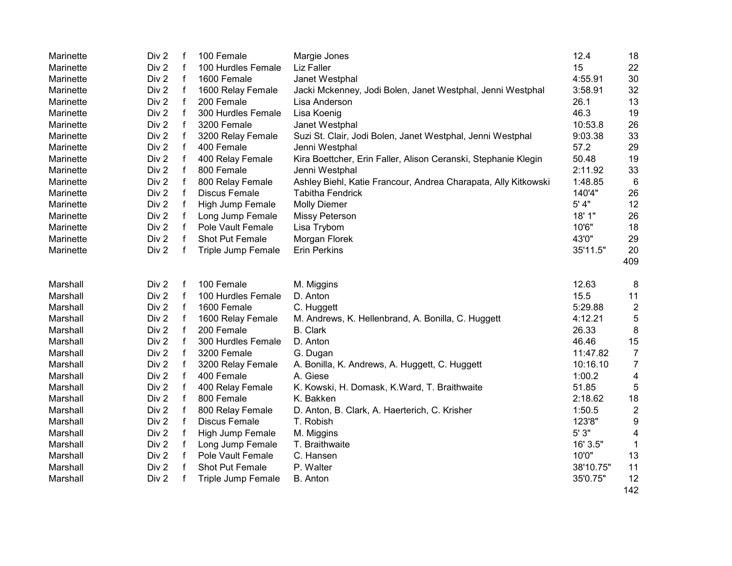| Marinette | Div 2            | $\mathsf f$  | 100 Female           | Margie Jones                                                   | 12.4      | 18                      |
|-----------|------------------|--------------|----------------------|----------------------------------------------------------------|-----------|-------------------------|
| Marinette | Div 2            | $\mathsf{f}$ | 100 Hurdles Female   | Liz Faller                                                     | 15        | 22                      |
| Marinette | Div 2            | $\mathsf{f}$ | 1600 Female          | Janet Westphal                                                 | 4:55.91   | 30                      |
| Marinette | Div 2            | $\mathsf{f}$ | 1600 Relay Female    | Jacki Mckenney, Jodi Bolen, Janet Westphal, Jenni Westphal     | 3:58.91   | 32                      |
| Marinette | Div 2            | $\mathsf{f}$ | 200 Female           | Lisa Anderson                                                  | 26.1      | 13                      |
| Marinette | Div 2            | $\mathbf f$  | 300 Hurdles Female   | Lisa Koenig                                                    | 46.3      | 19                      |
| Marinette | Div 2            | f            | 3200 Female          | Janet Westphal                                                 | 10:53.8   | 26                      |
| Marinette | Div 2            | f            | 3200 Relay Female    | Suzi St. Clair, Jodi Bolen, Janet Westphal, Jenni Westphal     | 9:03.38   | 33                      |
| Marinette | Div 2            | $\mathsf{f}$ | 400 Female           | Jenni Westphal                                                 | 57.2      | 29                      |
| Marinette | Div 2            | $\mathsf{f}$ | 400 Relay Female     | Kira Boettcher, Erin Faller, Alison Ceranski, Stephanie Klegin | 50.48     | 19                      |
| Marinette | Div 2            | $\mathsf{f}$ | 800 Female           | Jenni Westphal                                                 | 2:11.92   | 33                      |
| Marinette | Div 2            | $\mathsf{f}$ | 800 Relay Female     | Ashley Biehl, Katie Francour, Andrea Charapata, Ally Kitkowski | 1:48.85   | 6                       |
| Marinette | Div 2            | $\mathbf f$  | <b>Discus Female</b> | <b>Tabitha Fendrick</b>                                        | 140'4"    | 26                      |
| Marinette | Div 2            | $\mathsf{f}$ | High Jump Female     | <b>Molly Diemer</b>                                            | 5' 4"     | 12                      |
| Marinette | Div 2            | $\mathsf{f}$ | Long Jump Female     | Missy Peterson                                                 | 18' 1"    | 26                      |
| Marinette | Div 2            | $\mathsf f$  | Pole Vault Female    | Lisa Trybom                                                    | 10'6"     | 18                      |
| Marinette | Div 2            | $\mathbf{f}$ | Shot Put Female      | Morgan Florek                                                  | 43'0"     | 29                      |
| Marinette | Div 2            | f            | Triple Jump Female   | <b>Erin Perkins</b>                                            | 35'11.5"  | 20                      |
|           |                  |              |                      |                                                                |           | 409                     |
|           |                  |              |                      |                                                                |           |                         |
| Marshall  | Div 2            | $\mathsf f$  | 100 Female           | M. Miggins                                                     | 12.63     | 8                       |
| Marshall  | Div 2            | $\mathsf{f}$ | 100 Hurdles Female   | D. Anton                                                       | 15.5      | 11                      |
| Marshall  | Div 2            | $\mathsf{f}$ | 1600 Female          | C. Huggett                                                     | 5:29.88   | $\overline{c}$          |
| Marshall  | Div 2            | $\mathsf{f}$ | 1600 Relay Female    | M. Andrews, K. Hellenbrand, A. Bonilla, C. Huggett             | 4:12.21   | $\sqrt{5}$              |
| Marshall  | Div 2            | $\mathbf{f}$ | 200 Female           | <b>B.</b> Clark                                                | 26.33     | 8                       |
| Marshall  | Div 2            | $\mathbf{f}$ | 300 Hurdles Female   | D. Anton                                                       | 46.46     | 15                      |
| Marshall  | Div <sub>2</sub> | $\mathsf{f}$ | 3200 Female          | G. Dugan                                                       | 11:47.82  | $\overline{7}$          |
| Marshall  | Div 2            | $\mathsf{f}$ | 3200 Relay Female    | A. Bonilla, K. Andrews, A. Huggett, C. Huggett                 | 10:16.10  | $\overline{7}$          |
| Marshall  | Div 2            | $\mathsf{f}$ | 400 Female           | A. Giese                                                       | 1:00.2    | 4                       |
| Marshall  | Div 2            | $\mathsf f$  | 400 Relay Female     | K. Kowski, H. Domask, K.Ward, T. Braithwaite                   | 51.85     | 5                       |
| Marshall  | Div 2            | $\mathsf f$  | 800 Female           | K. Bakken                                                      | 2:18.62   | 18                      |
| Marshall  | Div 2            | $\mathsf{f}$ | 800 Relay Female     | D. Anton, B. Clark, A. Haerterich, C. Krisher                  | 1:50.5    | $\overline{\mathbf{c}}$ |
| Marshall  | Div 2            | $\mathsf{f}$ | <b>Discus Female</b> | T. Robish                                                      | 123'8"    | 9                       |
| Marshall  | Div 2            | f            | High Jump Female     | M. Miggins                                                     | 5'3"      | 4                       |
| Marshall  | Div 2            | f            | Long Jump Female     | T. Braithwaite                                                 | 16' 3.5"  | 1                       |
| Marshall  | Div 2            | $\mathsf{f}$ | Pole Vault Female    | C. Hansen                                                      | 10'0"     | 13                      |
| Marshall  | Div 2            | $\mathbf f$  | Shot Put Female      | P. Walter                                                      | 38'10.75" | 11                      |
| Marshall  | Div 2            | $\mathsf f$  | Triple Jump Female   | <b>B.</b> Anton                                                | 35'0.75"  | 12                      |
|           |                  |              |                      |                                                                |           | 142                     |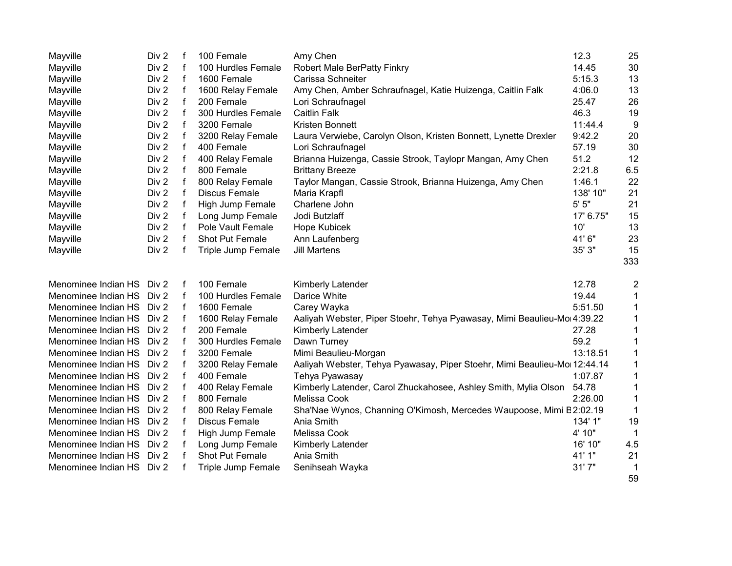| Mayville            | Div <sub>2</sub> | f           | 100 Female           | Amy Chen                                                                  | 12.3      | 25             |
|---------------------|------------------|-------------|----------------------|---------------------------------------------------------------------------|-----------|----------------|
| Mayville            | Div 2            | f           | 100 Hurdles Female   | Robert Male BerPatty Finkry                                               | 14.45     | 30             |
| Mayville            | Div 2            | f           | 1600 Female          | Carissa Schneiter                                                         | 5:15.3    | 13             |
| Mayville            | Div 2            | f           | 1600 Relay Female    | Amy Chen, Amber Schraufnagel, Katie Huizenga, Caitlin Falk                | 4:06.0    | 13             |
| Mayville            | Div 2            | f           | 200 Female           | Lori Schraufnagel                                                         | 25.47     | 26             |
| Mayville            | Div 2            | f           | 300 Hurdles Female   | <b>Caitlin Falk</b>                                                       | 46.3      | 19             |
| Mayville            | Div <sub>2</sub> | f           | 3200 Female          | Kristen Bonnett                                                           | 11:44.4   | 9              |
| Mayville            | Div 2            | f           | 3200 Relay Female    | Laura Verwiebe, Carolyn Olson, Kristen Bonnett, Lynette Drexler           | 9:42.2    | 20             |
| Mayville            | Div <sub>2</sub> | f           | 400 Female           | Lori Schraufnagel                                                         | 57.19     | 30             |
| Mayville            | Div 2            | f           | 400 Relay Female     | Brianna Huizenga, Cassie Strook, Taylopr Mangan, Amy Chen                 | 51.2      | 12             |
| Mayville            | Div <sub>2</sub> | f           | 800 Female           | <b>Brittany Breeze</b>                                                    | 2:21.8    | 6.5            |
| Mayville            | Div 2            | f           | 800 Relay Female     | Taylor Mangan, Cassie Strook, Brianna Huizenga, Amy Chen                  | 1:46.1    | 22             |
| Mayville            | Div <sub>2</sub> | $\mathbf f$ | <b>Discus Female</b> | Maria Krapfl                                                              | 138' 10"  | 21             |
| Mayville            | Div 2            | f           | High Jump Female     | Charlene John                                                             | 5'5''     | 21             |
| Mayville            | Div 2            | f           | Long Jump Female     | Jodi Butzlaff                                                             | 17' 6.75" | 15             |
| Mayville            | Div 2            | f           | Pole Vault Female    | Hope Kubicek                                                              | 10'       | 13             |
| Mayville            | Div 2            | f           | Shot Put Female      | Ann Laufenberg                                                            | 41'6"     | 23             |
| Mayville            | Div <sub>2</sub> | f           | Triple Jump Female   | <b>Jill Martens</b>                                                       | 35' 3"    | 15             |
|                     |                  |             |                      |                                                                           |           | 333            |
| Menominee Indian HS | Div 2            | f           | 100 Female           | Kimberly Latender                                                         | 12.78     | $\overline{2}$ |
| Menominee Indian HS | Div 2            | f           | 100 Hurdles Female   | Darice White                                                              | 19.44     | 1              |
| Menominee Indian HS | Div 2            | f           | 1600 Female          | Carey Wayka                                                               | 5:51.50   | 1              |
| Menominee Indian HS | Div 2            |             | 1600 Relay Female    | Aaliyah Webster, Piper Stoehr, Tehya Pyawasay, Mimi Beaulieu-Mor4:39.22   |           | 1              |
| Menominee Indian HS | Div 2            | f           | 200 Female           | Kimberly Latender                                                         | 27.28     | 1              |
| Menominee Indian HS | Div 2            |             | 300 Hurdles Female   | Dawn Turney                                                               | 59.2      | 1              |
| Menominee Indian HS | Div <sub>2</sub> | f           | 3200 Female          | Mimi Beaulieu-Morgan                                                      | 13:18.51  | 1              |
| Menominee Indian HS | Div 2            |             | 3200 Relay Female    | Aaliyah Webster, Tehya Pyawasay, Piper Stoehr, Mimi Beaulieu-Mol 12:44.14 |           | 1              |
| Menominee Indian HS | Div 2            | f           | 400 Female           | Tehya Pyawasay                                                            | 1:07.87   | 1              |
| Menominee Indian HS | Div 2            |             | 400 Relay Female     | Kimberly Latender, Carol Zhuckahosee, Ashley Smith, Mylia Olson           | 54.78     | 1              |
| Menominee Indian HS | Div 2            |             | 800 Female           | Melissa Cook                                                              | 2:26.00   | 1              |
| Menominee Indian HS | Div 2            |             | 800 Relay Female     | Sha'Nae Wynos, Channing O'Kimosh, Mercedes Waupoose, Mimi E2:02.19        |           | 1              |
| Menominee Indian HS | Div 2            | f           | <b>Discus Female</b> | Ania Smith                                                                | 134' 1"   | 19             |
| Menominee Indian HS | Div 2            |             | High Jump Female     | Melissa Cook                                                              | 4' 10"    | 1              |
| Menominee Indian HS | Div 2            |             | Long Jump Female     | Kimberly Latender                                                         | 16' 10"   | 4.5            |
| Menominee Indian HS | Div <sub>2</sub> | f           | Shot Put Female      | Ania Smith                                                                | 41' 1"    | 21             |
| Menominee Indian HS | Div 2            |             | Triple Jump Female   | Senihseah Wayka                                                           | 31'7"     | 1              |
|                     |                  |             |                      |                                                                           |           | 59             |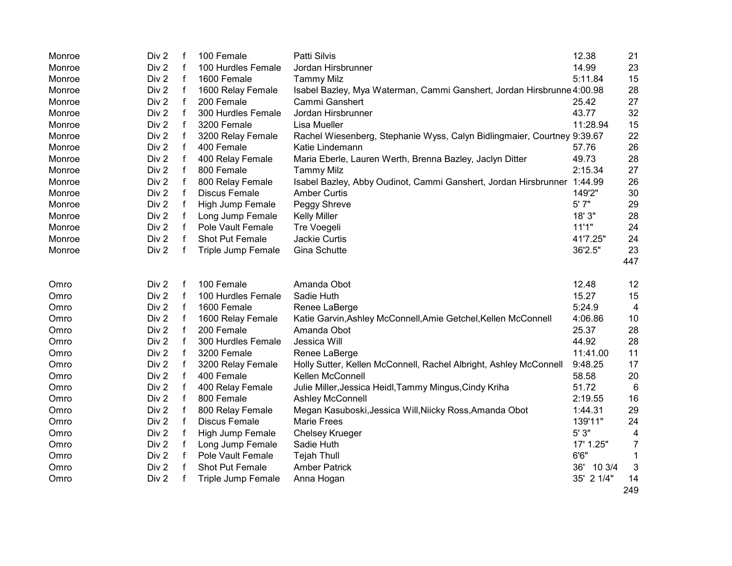| Monroe       | Div <sub>2</sub> | f                | 100 Female                      | Patti Silvis                                                            | 12.38         | 21             |
|--------------|------------------|------------------|---------------------------------|-------------------------------------------------------------------------|---------------|----------------|
| Monroe       | Div 2            |                  | 100 Hurdles Female              | Jordan Hirsbrunner                                                      | 14.99         | 23             |
| Monroe       | Div <sub>2</sub> | $\mathsf f$      | 1600 Female                     | <b>Tammy Milz</b>                                                       | 5:11.84       | 15             |
| Monroe       | Div <sub>2</sub> | $\mathsf f$      | 1600 Relay Female               | Isabel Bazley, Mya Waterman, Cammi Ganshert, Jordan Hirsbrunne 4:00.98  |               | 28             |
| Monroe       | Div <sub>2</sub> | $\mathsf f$      | 200 Female                      | Cammi Ganshert                                                          | 25.42         | 27             |
| Monroe       | Div <sub>2</sub> | $\mathbf f$      | 300 Hurdles Female              | Jordan Hirsbrunner                                                      | 43.77         | 32             |
| Monroe       | Div <sub>2</sub> | $\mathsf f$      | 3200 Female                     | Lisa Mueller                                                            | 11:28.94      | 15             |
| Monroe       | Div <sub>2</sub> | f                | 3200 Relay Female               | Rachel Wiesenberg, Stephanie Wyss, Calyn Bidlingmaier, Courtney 9:39.67 |               | 22             |
| Monroe       | Div 2            | f                | 400 Female                      | Katie Lindemann                                                         | 57.76         | 26             |
| Monroe       | Div 2            |                  | 400 Relay Female                | Maria Eberle, Lauren Werth, Brenna Bazley, Jaclyn Ditter                | 49.73         | 28             |
| Monroe       | Div <sub>2</sub> | f                | 800 Female                      | <b>Tammy Milz</b>                                                       | 2:15.34       | 27             |
| Monroe       | Div 2            |                  | 800 Relay Female                | Isabel Bazley, Abby Oudinot, Cammi Ganshert, Jordan Hirsbrunner 1:44.99 |               | 26             |
| Monroe       | Div 2            | f                | <b>Discus Female</b>            | <b>Amber Curtis</b>                                                     | 149'2"        | 30             |
| Monroe       | Div 2            | f                | High Jump Female                | Peggy Shreve                                                            | 5' 7"         | 29             |
| Monroe       | Div 2            | f                | Long Jump Female                | <b>Kelly Miller</b>                                                     | 18' 3"        | 28             |
| Monroe       | Div 2            | f                | Pole Vault Female               | Tre Voegeli                                                             | 11'1"         | 24             |
| Monroe       | Div 2            | f                | Shot Put Female                 | Jackie Curtis                                                           | 41'7.25"      | 24             |
| Monroe       | Div 2            | f                | Triple Jump Female              | Gina Schutte                                                            | 36'2.5"       | 23             |
|              |                  |                  |                                 |                                                                         |               | 447            |
|              | Div 2            | f                | 100 Female                      | Amanda Obot                                                             | 12.48         | 12             |
| Omro<br>Omro | Div 2            | f                | 100 Hurdles Female              | Sadie Huth                                                              | 15.27         | 15             |
| Omro         | Div <sub>2</sub> | f                | 1600 Female                     | Renee LaBerge                                                           | 5:24.9        | 4              |
|              | Div 2            |                  |                                 |                                                                         | 4:06.86       | 10             |
| Omro         | Div 2            | f<br>$\mathsf f$ | 1600 Relay Female<br>200 Female | Katie Garvin, Ashley McConnell, Amie Getchel, Kellen McConnell          | 25.37         |                |
| Omro         | Div 2            |                  |                                 | Amanda Obot                                                             | 44.92         | 28             |
| Omro         |                  | f                | 300 Hurdles Female              | Jessica Will                                                            |               | 28             |
| Omro         | Div 2            | f                | 3200 Female                     | Renee LaBerge                                                           | 11:41.00      | 11             |
| Omro         | Div 2            | f                | 3200 Relay Female               | Holly Sutter, Kellen McConnell, Rachel Albright, Ashley McConnell       | 9:48.25       | 17             |
| Omro         | Div 2            | $\mathbf f$      | 400 Female                      | Kellen McConnell                                                        | 58.58         | 20             |
| Omro         | Div 2            | $\mathsf f$      | 400 Relay Female                | Julie Miller, Jessica Heidl, Tammy Mingus, Cindy Kriha                  | 51.72         | 6              |
| Omro         | Div <sub>2</sub> | $\mathsf f$      | 800 Female                      | <b>Ashley McConnell</b>                                                 | 2:19.55       | 16             |
| Omro         | Div 2            | f                | 800 Relay Female                | Megan Kasuboski, Jessica Will, Niicky Ross, Amanda Obot                 | 1:44.31       | 29             |
| Omro         | Div <sub>2</sub> | f                | <b>Discus Female</b>            | <b>Marie Frees</b>                                                      | 139'11"       | 24             |
| Omro         | Div 2            | f                | High Jump Female                | <b>Chelsey Krueger</b>                                                  | 5' 3"         | 4              |
| Omro         | Div 2            | f                | Long Jump Female                | Sadie Huth                                                              | 17' 1.25"     | $\overline{7}$ |
| Omro         | Div 2            | f                | Pole Vault Female               | <b>Tejah Thull</b>                                                      | 6'6''         | 1              |
| Omro         | Div 2            |                  | Shot Put Female                 | <b>Amber Patrick</b>                                                    | 36'<br>10 3/4 | 3              |
| Omro         | Div 2            | f                | Triple Jump Female              | Anna Hogan                                                              | 35' 2 1/4"    | 14             |
|              |                  |                  |                                 |                                                                         |               | 249            |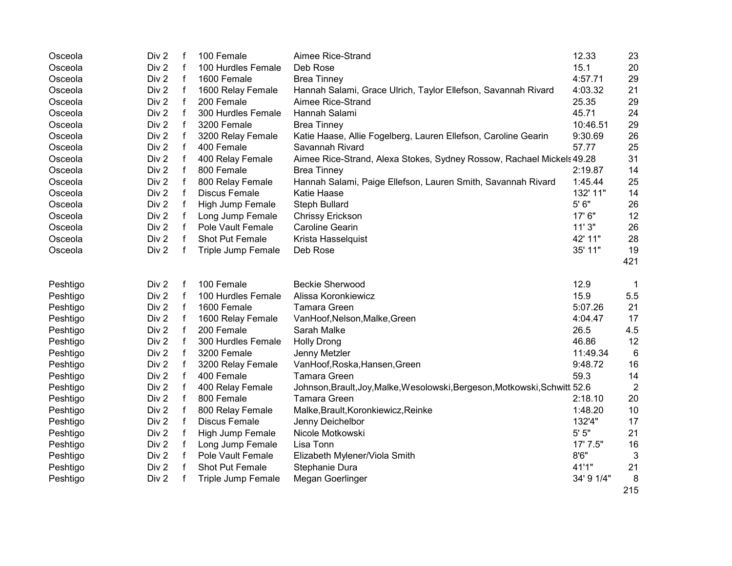| Osceola  | Div <sub>2</sub> | f            | 100 Female           | Aimee Rice-Strand                                                          | 12.33      | 23              |
|----------|------------------|--------------|----------------------|----------------------------------------------------------------------------|------------|-----------------|
| Osceola  | Div 2            | $\mathbf f$  | 100 Hurdles Female   | Deb Rose                                                                   | 15.1       | 20              |
| Osceola  | Div 2            | $\mathsf f$  | 1600 Female          | <b>Brea Tinney</b>                                                         | 4:57.71    | 29              |
| Osceola  | Div 2            | f            | 1600 Relay Female    | Hannah Salami, Grace Ulrich, Taylor Ellefson, Savannah Rivard              | 4:03.32    | 21              |
| Osceola  | Div 2            | f            | 200 Female           | Aimee Rice-Strand                                                          | 25.35      | 29              |
| Osceola  | Div 2            | f            | 300 Hurdles Female   | Hannah Salami                                                              | 45.71      | 24              |
| Osceola  | Div <sub>2</sub> | f            | 3200 Female          | <b>Brea Tinney</b>                                                         | 10:46.51   | 29              |
| Osceola  | Div 2            | f            | 3200 Relay Female    | Katie Haase, Allie Fogelberg, Lauren Ellefson, Caroline Gearin             | 9:30.69    | 26              |
| Osceola  | Div 2            | f            | 400 Female           | Savannah Rivard                                                            | 57.77      | 25              |
| Osceola  | Div 2            | f            | 400 Relay Female     | Aimee Rice-Strand, Alexa Stokes, Sydney Rossow, Rachael Mickels 49.28      |            | 31              |
| Osceola  | Div 2            | f            | 800 Female           | <b>Brea Tinney</b>                                                         | 2:19.87    | 14              |
| Osceola  | Div 2            | $\mathsf f$  | 800 Relay Female     | Hannah Salami, Paige Ellefson, Lauren Smith, Savannah Rivard               | 1:45.44    | 25              |
| Osceola  | Div 2            | $\mathbf f$  | <b>Discus Female</b> | <b>Katie Haase</b>                                                         | 132' 11"   | 14              |
| Osceola  | Div 2            | f            | High Jump Female     | Steph Bullard                                                              | 5' 6"      | 26              |
| Osceola  | Div 2            | f            | Long Jump Female     | <b>Chrissy Erickson</b>                                                    | 17' 6"     | 12              |
| Osceola  | Div 2            | $\mathsf{f}$ | Pole Vault Female    | <b>Caroline Gearin</b>                                                     | 11'3"      | 26              |
| Osceola  | Div 2            | f            | Shot Put Female      | Krista Hasselquist                                                         | 42' 11"    | 28              |
| Osceola  | Div 2            | f            | Triple Jump Female   | Deb Rose                                                                   | 35' 11"    | 19              |
|          |                  |              |                      |                                                                            |            | 421             |
| Peshtigo | Div 2            | f            | 100 Female           | <b>Beckie Sherwood</b>                                                     | 12.9       | $\mathbf 1$     |
| Peshtigo | Div 2            | f            | 100 Hurdles Female   | Alissa Koronkiewicz                                                        | 15.9       | 5.5             |
| Peshtigo | Div 2            | $\mathsf f$  | 1600 Female          | <b>Tamara Green</b>                                                        | 5:07.26    | 21              |
| Peshtigo | Div 2            | f            | 1600 Relay Female    | VanHoof, Nelson, Malke, Green                                              | 4:04.47    | 17              |
| Peshtigo | Div 2            | $\mathbf f$  | 200 Female           | Sarah Malke                                                                | 26.5       | 4.5             |
| Peshtigo | Div 2            | f            | 300 Hurdles Female   | <b>Holly Drong</b>                                                         | 46.86      | 12              |
| Peshtigo | Div 2            | $\mathsf f$  | 3200 Female          | Jenny Metzler                                                              | 11:49.34   | $6\phantom{1}6$ |
| Peshtigo | Div 2            | $\mathsf f$  | 3200 Relay Female    | VanHoof, Roska, Hansen, Green                                              | 9:48.72    | 16              |
| Peshtigo | Div <sub>2</sub> | $\mathsf f$  | 400 Female           | <b>Tamara Green</b>                                                        | 59.3       | 14              |
| Peshtigo | Div <sub>2</sub> | f            | 400 Relay Female     | Johnson, Brault, Joy, Malke, Wesolowski, Bergeson, Motkowski, Schwitt 52.6 |            | $\overline{2}$  |
| Peshtigo | Div 2            | $\mathsf f$  | 800 Female           | <b>Tamara Green</b>                                                        | 2:18.10    | 20              |
| Peshtigo | Div 2            | f            | 800 Relay Female     | Malke, Brault, Koronkiewicz, Reinke                                        | 1:48.20    | 10              |
| Peshtigo | Div 2            | f            | <b>Discus Female</b> | Jenny Deichelbor                                                           | 132'4"     | 17              |
| Peshtigo | Div 2            | f            | High Jump Female     | Nicole Motkowski                                                           | 5'5''      | 21              |
| Peshtigo | Div 2            | f            | Long Jump Female     | Lisa Tonn                                                                  | 17' 7.5"   | 16              |
| Peshtigo | Div 2            | $\mathsf f$  | Pole Vault Female    | Elizabeth Mylener/Viola Smith                                              | 8'6''      | 3               |
| Peshtigo | Div 2            | f            | Shot Put Female      | Stephanie Dura                                                             | 41'1"      | 21              |
| Peshtigo | Div 2            | f            | Triple Jump Female   | Megan Goerlinger                                                           | 34' 9 1/4" | 8               |
|          |                  |              |                      |                                                                            |            | 215             |
|          |                  |              |                      |                                                                            |            |                 |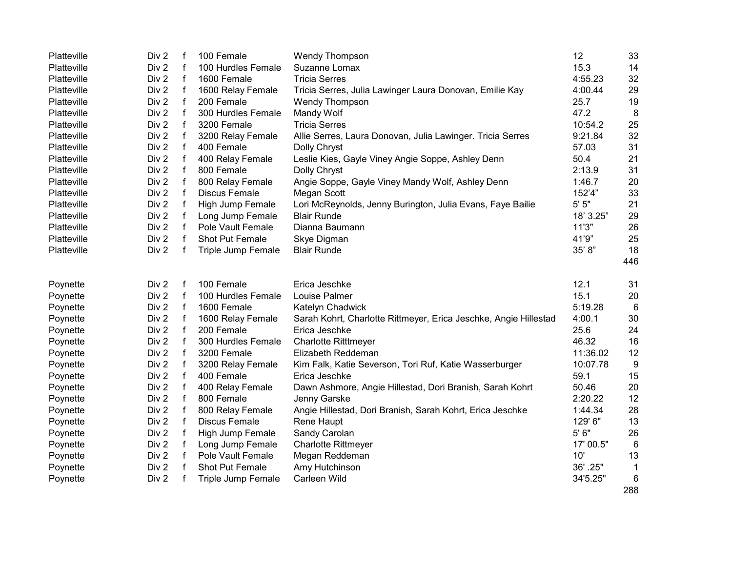| Platteville | Div 2 | $\mathsf f$  | 100 Female           | Wendy Thompson                                                   | 12        | 33              |
|-------------|-------|--------------|----------------------|------------------------------------------------------------------|-----------|-----------------|
| Platteville | Div 2 | $\mathsf{f}$ | 100 Hurdles Female   | Suzanne Lomax                                                    | 15.3      | 14              |
| Platteville | Div 2 | $\mathbf{f}$ | 1600 Female          | <b>Tricia Serres</b>                                             | 4:55.23   | 32              |
| Platteville | Div 2 | $\mathsf f$  | 1600 Relay Female    | Tricia Serres, Julia Lawinger Laura Donovan, Emilie Kay          | 4:00.44   | 29              |
| Platteville | Div 2 | $\mathsf{f}$ | 200 Female           | <b>Wendy Thompson</b>                                            | 25.7      | 19              |
| Platteville | Div 2 | $\mathsf{f}$ | 300 Hurdles Female   | Mandy Wolf                                                       | 47.2      | 8               |
| Platteville | Div 2 | $\mathsf{f}$ | 3200 Female          | <b>Tricia Serres</b>                                             | 10:54.2   | 25              |
| Platteville | Div 2 | $\mathsf f$  | 3200 Relay Female    | Allie Serres, Laura Donovan, Julia Lawinger. Tricia Serres       | 9:21.84   | 32              |
| Platteville | Div 2 | $\mathsf{f}$ | 400 Female           | Dolly Chryst                                                     | 57.03     | 31              |
| Platteville | Div 2 | $\mathsf{f}$ | 400 Relay Female     | Leslie Kies, Gayle Viney Angie Soppe, Ashley Denn                | 50.4      | 21              |
| Platteville | Div 2 | $\mathsf{f}$ | 800 Female           | Dolly Chryst                                                     | 2:13.9    | 31              |
| Platteville | Div 2 | $\mathsf{f}$ | 800 Relay Female     | Angie Soppe, Gayle Viney Mandy Wolf, Ashley Denn                 | 1:46.7    | 20              |
| Platteville | Div 2 | $\mathsf{f}$ | <b>Discus Female</b> | Megan Scott                                                      | 152'4"    | 33              |
| Platteville | Div 2 | $\mathsf{f}$ | High Jump Female     | Lori McReynolds, Jenny Burington, Julia Evans, Faye Bailie       | 5' 5"     | 21              |
| Platteville | Div 2 | $\mathsf f$  | Long Jump Female     | <b>Blair Runde</b>                                               | 18' 3.25" | 29              |
| Platteville | Div 2 | $\mathsf{f}$ | Pole Vault Female    | Dianna Baumann                                                   | 11'3"     | 26              |
| Platteville | Div 2 | $\mathbf{f}$ | Shot Put Female      | Skye Digman                                                      | 41'9"     | 25              |
| Platteville | Div 2 | $\mathsf{f}$ | Triple Jump Female   | <b>Blair Runde</b>                                               | 35' 8"    | 18              |
|             |       |              |                      |                                                                  |           | 446             |
|             |       |              |                      |                                                                  |           |                 |
| Poynette    | Div 2 | f            | 100 Female           | Erica Jeschke                                                    | 12.1      | 31              |
| Poynette    | Div 2 | f            | 100 Hurdles Female   | Louise Palmer                                                    | 15.1      | 20              |
| Poynette    | Div 2 | $\mathsf f$  | 1600 Female          | Katelyn Chadwick                                                 | 5:19.28   | 6               |
| Poynette    | Div 2 | $\mathsf{f}$ | 1600 Relay Female    | Sarah Kohrt, Charlotte Rittmeyer, Erica Jeschke, Angie Hillestad | 4:00.1    | 30              |
| Poynette    | Div 2 | $\mathsf{f}$ | 200 Female           | Erica Jeschke                                                    | 25.6      | 24              |
| Poynette    | Div 2 | $\mathbf{f}$ | 300 Hurdles Female   | <b>Charlotte Ritttmeyer</b>                                      | 46.32     | 16              |
| Poynette    | Div 2 | $\mathsf{f}$ | 3200 Female          | Elizabeth Reddeman                                               | 11:36.02  | 12              |
| Poynette    | Div 2 | $\mathsf{f}$ | 3200 Relay Female    | Kim Falk, Katie Severson, Tori Ruf, Katie Wasserburger           | 10:07.78  | 9               |
| Poynette    | Div 2 | $\mathbf{f}$ | 400 Female           | Erica Jeschke                                                    | 59.1      | 15              |
| Poynette    | Div 2 | $\mathsf f$  | 400 Relay Female     | Dawn Ashmore, Angie Hillestad, Dori Branish, Sarah Kohrt         | 50.46     | 20              |
| Poynette    | Div 2 | $\mathbf{f}$ | 800 Female           | Jenny Garske                                                     | 2:20.22   | 12              |
| Poynette    | Div 2 | f            | 800 Relay Female     | Angie Hillestad, Dori Branish, Sarah Kohrt, Erica Jeschke        | 1:44.34   | 28              |
| Poynette    | Div 2 | $\mathsf{f}$ | <b>Discus Female</b> | Rene Haupt                                                       | 129' 6"   | 13              |
| Poynette    | Div 2 | $\mathsf f$  | High Jump Female     | Sandy Carolan                                                    | 5' 6"     | 26              |
| Poynette    | Div 2 | $\mathsf f$  | Long Jump Female     | <b>Charlotte Rittmeyer</b>                                       | 17' 00.5" | $6\phantom{1}6$ |
| Poynette    | Div 2 | $\mathsf{f}$ | Pole Vault Female    | Megan Reddeman                                                   | 10'       | 13              |
| Poynette    | Div 2 | $\mathsf{f}$ | Shot Put Female      | Amy Hutchinson                                                   | 36'.25"   | 1               |
| Poynette    | Div 2 | $\mathsf{f}$ | Triple Jump Female   | Carleen Wild                                                     | 34'5.25"  | 6               |
|             |       |              |                      |                                                                  |           | 288             |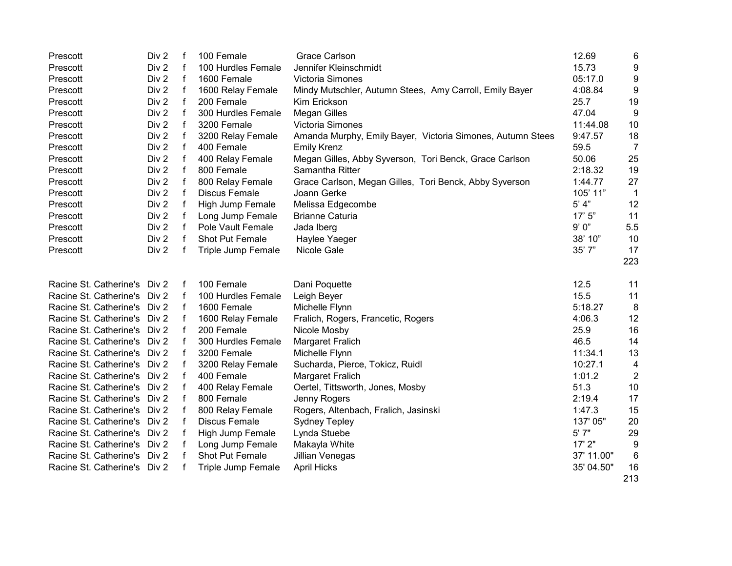| Prescott                     | Div 2            | f            | 100 Female           | <b>Grace Carlson</b>                                       | 12.69      | 6                |
|------------------------------|------------------|--------------|----------------------|------------------------------------------------------------|------------|------------------|
| Prescott                     | Div 2            | $\mathsf{f}$ | 100 Hurdles Female   | Jennifer Kleinschmidt                                      | 15.73      | 9                |
| Prescott                     | Div 2            | $\mathbf f$  | 1600 Female          | Victoria Simones                                           | 05:17.0    | 9                |
| Prescott                     | Div 2            | $\mathsf f$  | 1600 Relay Female    | Mindy Mutschler, Autumn Stees, Amy Carroll, Emily Bayer    | 4:08.84    | 9                |
| Prescott                     | Div 2            | $\mathbf{f}$ | 200 Female           | Kim Erickson                                               | 25.7       | 19               |
| Prescott                     | Div <sub>2</sub> | $\mathbf{f}$ | 300 Hurdles Female   | <b>Megan Gilles</b>                                        | 47.04      | 9                |
| Prescott                     | Div 2            | $\mathsf f$  | 3200 Female          | Victoria Simones                                           | 11:44.08   | 10               |
| Prescott                     | Div <sub>2</sub> | $\mathsf f$  | 3200 Relay Female    | Amanda Murphy, Emily Bayer, Victoria Simones, Autumn Stees | 9:47.57    | 18               |
| Prescott                     | Div <sub>2</sub> | f            | 400 Female           | <b>Emily Krenz</b>                                         | 59.5       | 7                |
| Prescott                     | Div 2            | f            | 400 Relay Female     | Megan Gilles, Abby Syverson, Tori Benck, Grace Carlson     | 50.06      | 25               |
| Prescott                     | Div 2            | $\mathsf f$  | 800 Female           | Samantha Ritter                                            | 2:18.32    | 19               |
| Prescott                     | Div 2            | f            | 800 Relay Female     | Grace Carlson, Megan Gilles, Tori Benck, Abby Syverson     | 1:44.77    | 27               |
| Prescott                     | Div 2            | f            | <b>Discus Female</b> | Joann Gerke                                                | 105' 11"   | $\overline{1}$   |
| Prescott                     | Div 2            | f            | High Jump Female     | Melissa Edgecombe                                          | $5'$ 4"    | 12               |
| Prescott                     | Div 2            | f            | Long Jump Female     | <b>Brianne Caturia</b>                                     | 17'5''     | 11               |
| Prescott                     | Div 2            | f            | Pole Vault Female    | Jada Iberg                                                 | 9'0"       | 5.5              |
| Prescott                     | Div 2            | f            | Shot Put Female      | Haylee Yaeger                                              | 38' 10"    | 10               |
| Prescott                     | Div <sub>2</sub> | f            | Triple Jump Female   | <b>Nicole Gale</b>                                         | 35'7"      | 17               |
|                              |                  |              |                      |                                                            |            | 223              |
| Racine St. Catherine's Div 2 |                  | f            | 100 Female           | Dani Poquette                                              | 12.5       | 11               |
| Racine St. Catherine's Div 2 |                  | f            | 100 Hurdles Female   | Leigh Beyer                                                | 15.5       | 11               |
| Racine St. Catherine's Div 2 |                  | f            | 1600 Female          | Michelle Flynn                                             | 5:18.27    | 8                |
| Racine St. Catherine's Div 2 |                  | f            | 1600 Relay Female    | Fralich, Rogers, Francetic, Rogers                         | 4:06.3     | 12               |
| Racine St. Catherine's Div 2 |                  | f            | 200 Female           | Nicole Mosby                                               | 25.9       | 16               |
| Racine St. Catherine's Div 2 |                  |              | 300 Hurdles Female   | Margaret Fralich                                           | 46.5       | 14               |
| Racine St. Catherine's Div 2 |                  | f            | 3200 Female          | Michelle Flynn                                             | 11:34.1    | 13               |
| Racine St. Catherine's Div 2 |                  |              | 3200 Relay Female    | Sucharda, Pierce, Tokicz, Ruidl                            | 10:27.1    | 4                |
| Racine St. Catherine's Div 2 |                  | f            | 400 Female           | Margaret Fralich                                           | 1:01.2     | $\overline{2}$   |
| Racine St. Catherine's Div 2 |                  |              | 400 Relay Female     | Oertel, Tittsworth, Jones, Mosby                           | 51.3       | 10               |
| Racine St. Catherine's Div 2 |                  |              | 800 Female           | Jenny Rogers                                               | 2:19.4     | 17               |
| Racine St. Catherine's Div 2 |                  |              | 800 Relay Female     | Rogers, Altenbach, Fralich, Jasinski                       | 1:47.3     | 15               |
| Racine St. Catherine's Div 2 |                  |              | <b>Discus Female</b> | <b>Sydney Tepley</b>                                       | 137' 05"   | 20               |
| Racine St. Catherine's Div 2 |                  |              | High Jump Female     | Lynda Stuebe                                               | 5' 7"      | 29               |
| Racine St. Catherine's Div 2 |                  |              | Long Jump Female     | Makayla White                                              | 17' 2"     | $\boldsymbol{9}$ |
| Racine St. Catherine's Div 2 |                  |              | Shot Put Female      | Jillian Venegas                                            | 37' 11.00" | 6                |
| Racine St. Catherine's Div 2 |                  |              | Triple Jump Female   | <b>April Hicks</b>                                         | 35' 04.50" | 16               |
|                              |                  |              |                      |                                                            |            | 213              |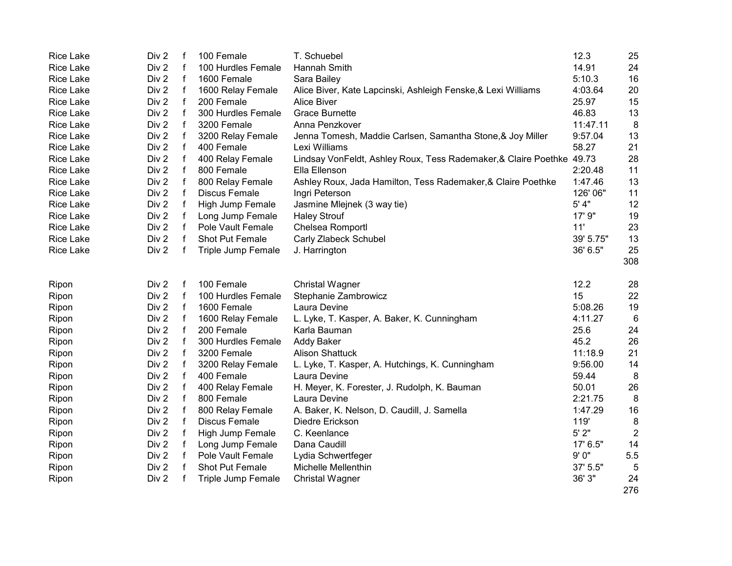| <b>Rice Lake</b> | Div 2 | f           | 100 Female           | T. Schuebel                                                           | 12.3      | 25             |
|------------------|-------|-------------|----------------------|-----------------------------------------------------------------------|-----------|----------------|
| <b>Rice Lake</b> | Div 2 | f           | 100 Hurdles Female   | Hannah Smith                                                          | 14.91     | 24             |
| <b>Rice Lake</b> | Div 2 | $\mathsf f$ | 1600 Female          | Sara Bailey                                                           | 5:10.3    | 16             |
| <b>Rice Lake</b> | Div 2 | f           | 1600 Relay Female    | Alice Biver, Kate Lapcinski, Ashleigh Fenske, & Lexi Williams         | 4:03.64   | 20             |
| <b>Rice Lake</b> | Div 2 | f           | 200 Female           | <b>Alice Biver</b>                                                    | 25.97     | 15             |
| <b>Rice Lake</b> | Div 2 | f           | 300 Hurdles Female   | <b>Grace Burnette</b>                                                 | 46.83     | 13             |
| <b>Rice Lake</b> | Div 2 | f           | 3200 Female          | Anna Penzkover                                                        | 11:47.11  | 8              |
| <b>Rice Lake</b> | Div 2 | f           | 3200 Relay Female    | Jenna Tomesh, Maddie Carlsen, Samantha Stone, & Joy Miller            | 9:57.04   | 13             |
| <b>Rice Lake</b> | Div 2 | f           | 400 Female           | Lexi Williams                                                         | 58.27     | 21             |
| <b>Rice Lake</b> | Div 2 | f           | 400 Relay Female     | Lindsay VonFeldt, Ashley Roux, Tess Rademaker, & Claire Poethke 49.73 |           | 28             |
| <b>Rice Lake</b> | Div 2 | f           | 800 Female           | Ella Ellenson                                                         | 2:20.48   | 11             |
| <b>Rice Lake</b> | Div 2 | f           | 800 Relay Female     | Ashley Roux, Jada Hamilton, Tess Rademaker, & Claire Poethke          | 1:47.46   | 13             |
| <b>Rice Lake</b> | Div 2 | f           | <b>Discus Female</b> | Ingri Peterson                                                        | 126' 06"  | 11             |
| <b>Rice Lake</b> | Div 2 | f           | High Jump Female     | Jasmine Mlejnek (3 way tie)                                           | 5' 4"     | 12             |
| <b>Rice Lake</b> | Div 2 | f           | Long Jump Female     | <b>Haley Strouf</b>                                                   | 17' 9"    | 19             |
| <b>Rice Lake</b> | Div 2 | f           | Pole Vault Female    | Chelsea Romportl                                                      | 11'       | 23             |
| <b>Rice Lake</b> | Div 2 | f           | Shot Put Female      | Carly Zlabeck Schubel                                                 | 39' 5.75" | 13             |
| <b>Rice Lake</b> | Div 2 | f           | Triple Jump Female   | J. Harrington                                                         | 36' 6.5"  | 25             |
|                  |       |             |                      |                                                                       |           | 308            |
|                  |       |             |                      |                                                                       |           |                |
| Ripon            | Div 2 | f           | 100 Female           | <b>Christal Wagner</b>                                                | 12.2      | 28             |
| Ripon            | Div 2 | f           | 100 Hurdles Female   | Stephanie Zambrowicz                                                  | 15        | 22             |
| Ripon            | Div 2 | f           | 1600 Female          | Laura Devine                                                          | 5:08.26   | 19             |
| Ripon            | Div 2 | f           | 1600 Relay Female    | L. Lyke, T. Kasper, A. Baker, K. Cunningham                           | 4:11.27   | 6              |
| Ripon            | Div 2 | f           | 200 Female           | Karla Bauman                                                          | 25.6      | 24             |
| Ripon            | Div 2 | f           | 300 Hurdles Female   | <b>Addy Baker</b>                                                     | 45.2      | 26             |
| Ripon            | Div 2 | f           | 3200 Female          | <b>Alison Shattuck</b>                                                | 11:18.9   | 21             |
| Ripon            | Div 2 | f           | 3200 Relay Female    | L. Lyke, T. Kasper, A. Hutchings, K. Cunningham                       | 9:56.00   | 14             |
| Ripon            | Div 2 | f           | 400 Female           | Laura Devine                                                          | 59.44     | 8              |
| Ripon            | Div 2 | f           | 400 Relay Female     | H. Meyer, K. Forester, J. Rudolph, K. Bauman                          | 50.01     | 26             |
| Ripon            | Div 2 | f           | 800 Female           | Laura Devine                                                          | 2:21.75   | 8              |
| Ripon            | Div 2 | f           | 800 Relay Female     | A. Baker, K. Nelson, D. Caudill, J. Samella                           | 1:47.29   | 16             |
| Ripon            | Div 2 | f           | <b>Discus Female</b> | Diedre Erickson                                                       | 119'      | 8              |
| Ripon            | Div 2 | f           | High Jump Female     | C. Keenlance                                                          | 5'2"      | $\overline{2}$ |
| Ripon            | Div 2 | f           | Long Jump Female     | Dana Caudill                                                          | 17' 6.5"  | 14             |
| Ripon            | Div 2 | f           | Pole Vault Female    | Lydia Schwertfeger                                                    | 9'0''     | 5.5            |
| Ripon            | Div 2 | f           | Shot Put Female      | <b>Michelle Mellenthin</b>                                            | 37' 5.5"  | 5              |
| Ripon            | Div 2 | f           | Triple Jump Female   | <b>Christal Wagner</b>                                                | 36' 3"    | 24             |
|                  |       |             |                      |                                                                       |           | 276            |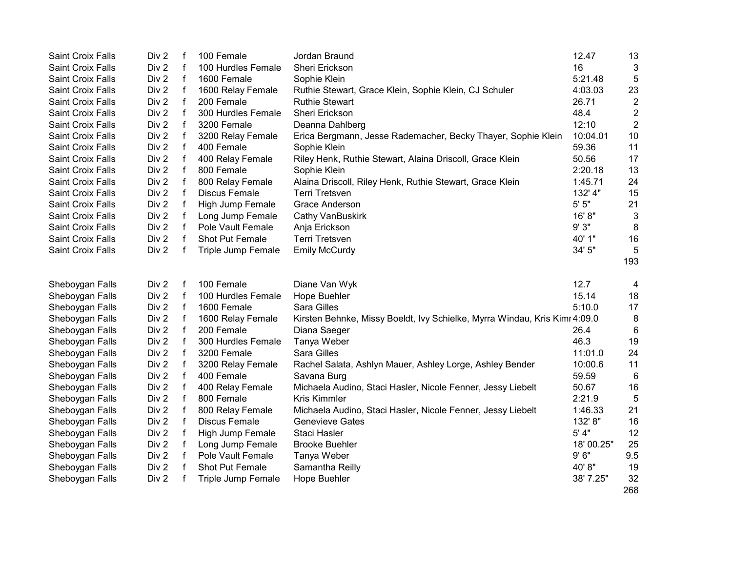| <b>Saint Croix Falls</b> | Div 2            | f            | 100 Female           | Jordan Braund                                                              | 12.47      | 13             |
|--------------------------|------------------|--------------|----------------------|----------------------------------------------------------------------------|------------|----------------|
| <b>Saint Croix Falls</b> | Div 2            | $\mathsf{f}$ | 100 Hurdles Female   | Sheri Erickson                                                             | 16         | 3              |
| Saint Croix Falls        | Div 2            | $\mathsf f$  | 1600 Female          | Sophie Klein                                                               | 5:21.48    | $\sqrt{5}$     |
| Saint Croix Falls        | Div 2            | $\mathsf f$  | 1600 Relay Female    | Ruthie Stewart, Grace Klein, Sophie Klein, CJ Schuler                      | 4:03.03    | 23             |
| Saint Croix Falls        | Div 2            | $\mathsf f$  | 200 Female           | <b>Ruthie Stewart</b>                                                      | 26.71      | $\overline{2}$ |
| Saint Croix Falls        | Div 2            | f            | 300 Hurdles Female   | Sheri Erickson                                                             | 48.4       | $\overline{2}$ |
| Saint Croix Falls        | Div 2            | f            | 3200 Female          | Deanna Dahlberg                                                            | 12:10      | $\overline{2}$ |
| Saint Croix Falls        | Div 2            | f            | 3200 Relay Female    | Erica Bergmann, Jesse Rademacher, Becky Thayer, Sophie Klein               | 10:04.01   | 10             |
| Saint Croix Falls        | Div 2            | $\mathbf f$  | 400 Female           | Sophie Klein                                                               | 59.36      | 11             |
| Saint Croix Falls        | Div <sub>2</sub> | f            | 400 Relay Female     | Riley Henk, Ruthie Stewart, Alaina Driscoll, Grace Klein                   | 50.56      | 17             |
| Saint Croix Falls        | Div 2            | $\mathbf f$  | 800 Female           | Sophie Klein                                                               | 2:20.18    | 13             |
| Saint Croix Falls        | Div 2            | $\mathbf f$  | 800 Relay Female     | Alaina Driscoll, Riley Henk, Ruthie Stewart, Grace Klein                   | 1:45.71    | 24             |
| Saint Croix Falls        | Div 2            | f            | <b>Discus Female</b> | <b>Terri Tretsven</b>                                                      | 132' 4"    | 15             |
| Saint Croix Falls        | Div 2            | f            | High Jump Female     | <b>Grace Anderson</b>                                                      | $5'$ $5"$  | 21             |
| Saint Croix Falls        | Div 2            | f            | Long Jump Female     | Cathy VanBuskirk                                                           | 16' 8"     | $\mathbf{3}$   |
| Saint Croix Falls        | Div 2            | f            | Pole Vault Female    | Anja Erickson                                                              | 9'3"       | 8              |
| Saint Croix Falls        | Div 2            | f            | Shot Put Female      | <b>Terri Tretsven</b>                                                      | 40' 1"     | 16             |
| Saint Croix Falls        | Div 2            | $\mathsf{f}$ | Triple Jump Female   | <b>Emily McCurdy</b>                                                       | 34' 5"     | 5              |
|                          |                  |              |                      |                                                                            |            | 193            |
| Sheboygan Falls          | Div 2            | f            | 100 Female           | Diane Van Wyk                                                              | 12.7       | 4              |
| Sheboygan Falls          | Div 2            | f            | 100 Hurdles Female   | Hope Buehler                                                               | 15.14      | 18             |
| Sheboygan Falls          | Div 2            | $\mathsf f$  | 1600 Female          | Sara Gilles                                                                | 5:10.0     | 17             |
| Sheboygan Falls          | Div 2            | $\mathsf f$  | 1600 Relay Female    | Kirsten Behnke, Missy Boeldt, Ivy Schielke, Myrra Windau, Kris Kimr 4:09.0 |            | 8              |
| Sheboygan Falls          | Div 2            | f            | 200 Female           | Diana Saeger                                                               | 26.4       | 6              |
| Sheboygan Falls          | Div 2            | $\mathsf f$  | 300 Hurdles Female   | Tanya Weber                                                                | 46.3       | 19             |
| Sheboygan Falls          | Div 2            | $\mathsf f$  | 3200 Female          | Sara Gilles                                                                | 11:01.0    | 24             |
| Sheboygan Falls          | Div 2            | $\mathsf f$  | 3200 Relay Female    | Rachel Salata, Ashlyn Mauer, Ashley Lorge, Ashley Bender                   | 10:00.6    | 11             |
| Sheboygan Falls          | Div 2            | $\mathsf f$  | 400 Female           | Savana Burg                                                                | 59.59      | 6              |
| Sheboygan Falls          | Div 2            | $\mathsf f$  | 400 Relay Female     | Michaela Audino, Staci Hasler, Nicole Fenner, Jessy Liebelt                | 50.67      | 16             |
| Sheboygan Falls          | Div 2            | $\mathsf f$  | 800 Female           | <b>Kris Kimmler</b>                                                        | 2:21.9     | 5              |
| Sheboygan Falls          | Div 2            | $\mathsf f$  | 800 Relay Female     | Michaela Audino, Staci Hasler, Nicole Fenner, Jessy Liebelt                | 1:46.33    | 21             |
| Sheboygan Falls          | Div 2            | f            | <b>Discus Female</b> | <b>Genevieve Gates</b>                                                     | 132' 8"    | 16             |
| Sheboygan Falls          | Div 2            | f            | High Jump Female     | Staci Hasler                                                               | 5' 4"      | 12             |
| Sheboygan Falls          | Div 2            | f            | Long Jump Female     | <b>Brooke Buehler</b>                                                      | 18' 00.25" | 25             |
| Sheboygan Falls          | Div 2            | f            | Pole Vault Female    | Tanya Weber                                                                | 9'6''      | 9.5            |
| Sheboygan Falls          | Div 2            | f            | Shot Put Female      | Samantha Reilly                                                            | 40'8"      | 19             |
| Sheboygan Falls          | Div 2            | f            | Triple Jump Female   | Hope Buehler                                                               | 38' 7.25"  | 32             |
|                          |                  |              |                      |                                                                            |            | 268            |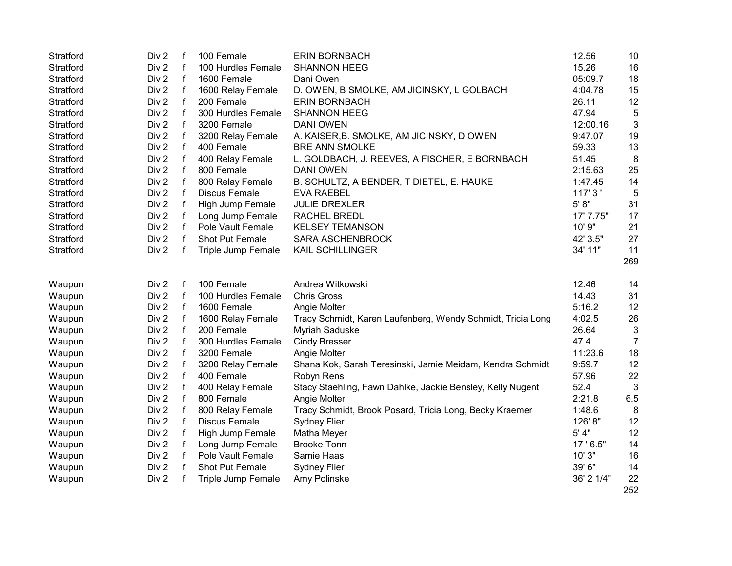| Stratford | Div 2 | f           | 100 Female           | <b>ERIN BORNBACH</b>                                        | 12.56      | 10             |
|-----------|-------|-------------|----------------------|-------------------------------------------------------------|------------|----------------|
| Stratford | Div 2 | f           | 100 Hurdles Female   | <b>SHANNON HEEG</b>                                         | 15.26      | 16             |
| Stratford | Div 2 | $\mathsf f$ | 1600 Female          | Dani Owen                                                   | 05:09.7    | 18             |
| Stratford | Div 2 | $\mathsf f$ | 1600 Relay Female    | D. OWEN, B SMOLKE, AM JICINSKY, L GOLBACH                   | 4:04.78    | 15             |
| Stratford | Div 2 | $\mathsf f$ | 200 Female           | <b>ERIN BORNBACH</b>                                        | 26.11      | 12             |
| Stratford | Div 2 | $\mathbf f$ | 300 Hurdles Female   | <b>SHANNON HEEG</b>                                         | 47.94      | 5              |
| Stratford | Div 2 | $\mathsf f$ | 3200 Female          | <b>DANI OWEN</b>                                            | 12:00.16   | $\mathfrak{3}$ |
| Stratford | Div 2 | f           | 3200 Relay Female    | A. KAISER, B. SMOLKE, AM JICINSKY, DOWEN                    | 9:47.07    | 19             |
| Stratford | Div 2 | f           | 400 Female           | <b>BRE ANN SMOLKE</b>                                       | 59.33      | 13             |
| Stratford | Div 2 | f           | 400 Relay Female     | L. GOLDBACH, J. REEVES, A FISCHER, E BORNBACH               | 51.45      | 8              |
| Stratford | Div 2 | f           | 800 Female           | <b>DANI OWEN</b>                                            | 2:15.63    | 25             |
| Stratford | Div 2 |             | 800 Relay Female     | B. SCHULTZ, A BENDER, T DIETEL, E. HAUKE                    | 1:47.45    | 14             |
| Stratford | Div 2 | f           | <b>Discus Female</b> | <b>EVA RAEBEL</b>                                           | 117' 3'    | 5              |
| Stratford | Div 2 | f           | High Jump Female     | <b>JULIE DREXLER</b>                                        | 5' 8''     | 31             |
| Stratford | Div 2 | f           | Long Jump Female     | RACHEL BREDL                                                | 17' 7.75"  | 17             |
| Stratford | Div 2 | f           | Pole Vault Female    | <b>KELSEY TEMANSON</b>                                      | 10' 9"     | 21             |
| Stratford | Div 2 | f           | Shot Put Female      | SARA ASCHENBROCK                                            | 42' 3.5"   | 27             |
| Stratford | Div 2 | f           | Triple Jump Female   | KAIL SCHILLINGER                                            | 34' 11"    | 11             |
|           |       |             |                      |                                                             |            | 269            |
|           |       |             |                      |                                                             |            |                |
| Waupun    | Div 2 | f           | 100 Female           | Andrea Witkowski                                            | 12.46      | 14             |
| Waupun    | Div 2 | f           | 100 Hurdles Female   | <b>Chris Gross</b>                                          | 14.43      | 31             |
| Waupun    | Div 2 | f           | 1600 Female          | Angie Molter                                                | 5:16.2     | 12             |
| Waupun    | Div 2 | $\mathsf f$ | 1600 Relay Female    | Tracy Schmidt, Karen Laufenberg, Wendy Schmidt, Tricia Long | 4:02.5     | 26             |
| Waupun    | Div 2 | $\mathsf f$ | 200 Female           | Myriah Saduske                                              | 26.64      | $\mathfrak{3}$ |
| Waupun    | Div 2 | f           | 300 Hurdles Female   | <b>Cindy Bresser</b>                                        | 47.4       | $\overline{7}$ |
| Waupun    | Div 2 | f           | 3200 Female          | Angie Molter                                                | 11:23.6    | 18             |
| Waupun    | Div 2 | f           | 3200 Relay Female    | Shana Kok, Sarah Teresinski, Jamie Meidam, Kendra Schmidt   | 9:59.7     | 12             |
| Waupun    | Div 2 | f           | 400 Female           | Robyn Rens                                                  | 57.96      | 22             |
| Waupun    | Div 2 | f           | 400 Relay Female     | Stacy Staehling, Fawn Dahlke, Jackie Bensley, Kelly Nugent  | 52.4       | 3              |
| Waupun    | Div 2 | $\mathsf f$ | 800 Female           | Angie Molter                                                | 2:21.8     | 6.5            |
| Waupun    | Div 2 | f           | 800 Relay Female     | Tracy Schmidt, Brook Posard, Tricia Long, Becky Kraemer     | 1:48.6     | 8              |
| Waupun    | Div 2 | f           | <b>Discus Female</b> | <b>Sydney Flier</b>                                         | 126' 8"    | 12             |
| Waupun    | Div 2 | f           | High Jump Female     | Matha Meyer                                                 | 5' 4"      | 12             |
| Waupun    | Div 2 | f           | Long Jump Female     | <b>Brooke Tonn</b>                                          | 17 ' 6.5"  | 14             |
| Waupun    | Div 2 | f           | Pole Vault Female    | Samie Haas                                                  | 10' 3"     | 16             |
| Waupun    | Div 2 | f           | Shot Put Female      | Sydney Flier                                                | 39' 6"     | 14             |
| Waupun    | Div 2 | f           | Triple Jump Female   | Amy Polinske                                                | 36' 2 1/4" | 22             |
|           |       |             |                      |                                                             |            | 252            |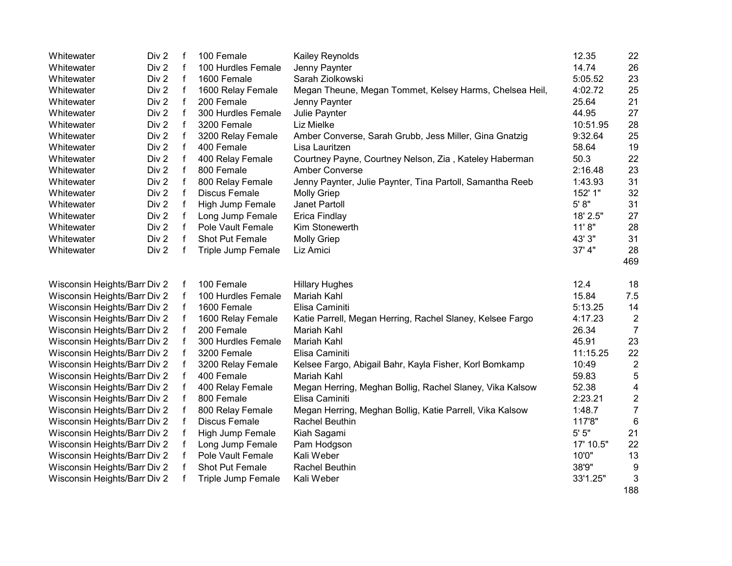| Whitewater                   | Div 2            | f           | 100 Female           | Kailey Reynolds                                           | 12.35     | 22               |
|------------------------------|------------------|-------------|----------------------|-----------------------------------------------------------|-----------|------------------|
| Whitewater                   | Div 2            | f           | 100 Hurdles Female   | Jenny Paynter                                             | 14.74     | 26               |
| Whitewater                   | Div 2            | $\mathbf f$ | 1600 Female          | Sarah Ziolkowski                                          | 5:05.52   | 23               |
| Whitewater                   | Div 2            | $\mathsf f$ | 1600 Relay Female    | Megan Theune, Megan Tommet, Kelsey Harms, Chelsea Heil,   | 4:02.72   | 25               |
| Whitewater                   | Div 2            | $\mathsf f$ | 200 Female           | Jenny Paynter                                             | 25.64     | 21               |
| Whitewater                   | Div <sub>2</sub> | $\mathsf f$ | 300 Hurdles Female   | Julie Paynter                                             | 44.95     | 27               |
| Whitewater                   | Div 2            | $\mathbf f$ | 3200 Female          | Liz Mielke                                                | 10:51.95  | 28               |
| Whitewater                   | Div 2            | f           | 3200 Relay Female    | Amber Converse, Sarah Grubb, Jess Miller, Gina Gnatzig    | 9:32.64   | 25               |
| Whitewater                   | Div 2            | f           | 400 Female           | Lisa Lauritzen                                            | 58.64     | 19               |
| Whitewater                   | Div 2            | f           | 400 Relay Female     | Courtney Payne, Courtney Nelson, Zia, Kateley Haberman    | 50.3      | 22               |
| Whitewater                   | Div 2            | f           | 800 Female           | Amber Converse                                            | 2:16.48   | 23               |
| Whitewater                   | Div 2            | f           | 800 Relay Female     | Jenny Paynter, Julie Paynter, Tina Partoll, Samantha Reeb | 1:43.93   | 31               |
| Whitewater                   | Div 2            | f           | <b>Discus Female</b> | <b>Molly Griep</b>                                        | 152' 1"   | 32               |
| Whitewater                   | Div 2            | f           | High Jump Female     | Janet Partoll                                             | 5' 8"     | 31               |
| Whitewater                   | Div 2            |             | Long Jump Female     | Erica Findlay                                             | 18' 2.5"  | 27               |
| Whitewater                   | Div 2            | f           | Pole Vault Female    | Kim Stonewerth                                            | 11'8"     | 28               |
| Whitewater                   | Div 2            |             | Shot Put Female      | <b>Molly Griep</b>                                        | 43' 3"    | 31               |
| Whitewater                   | Div 2            | f           | Triple Jump Female   | Liz Amici                                                 | 37' 4"    | 28               |
|                              |                  |             |                      |                                                           |           | 469              |
| Wisconsin Heights/Barr Div 2 |                  | f           | 100 Female           | <b>Hillary Hughes</b>                                     | 12.4      | 18               |
| Wisconsin Heights/Barr Div 2 |                  | f           | 100 Hurdles Female   | Mariah Kahl                                               | 15.84     | 7.5              |
| Wisconsin Heights/Barr Div 2 |                  | f           | 1600 Female          | Elisa Caminiti                                            | 5:13.25   | 14               |
| Wisconsin Heights/Barr Div 2 |                  |             | 1600 Relay Female    | Katie Parrell, Megan Herring, Rachel Slaney, Kelsee Fargo | 4:17.23   | $\overline{c}$   |
| Wisconsin Heights/Barr Div 2 |                  |             | 200 Female           | Mariah Kahl                                               | 26.34     | $\overline{7}$   |
| Wisconsin Heights/Barr Div 2 |                  |             | 300 Hurdles Female   | Mariah Kahl                                               | 45.91     | 23               |
| Wisconsin Heights/Barr Div 2 |                  |             | 3200 Female          | Elisa Caminiti                                            | 11:15.25  | 22               |
| Wisconsin Heights/Barr Div 2 |                  |             | 3200 Relay Female    | Kelsee Fargo, Abigail Bahr, Kayla Fisher, Korl Bomkamp    | 10:49     | $\overline{c}$   |
| Wisconsin Heights/Barr Div 2 |                  |             | 400 Female           | Mariah Kahl                                               | 59.83     | 5                |
| Wisconsin Heights/Barr Div 2 |                  |             | 400 Relay Female     | Megan Herring, Meghan Bollig, Rachel Slaney, Vika Kalsow  | 52.38     | 4                |
| Wisconsin Heights/Barr Div 2 |                  |             | 800 Female           | Elisa Caminiti                                            | 2:23.21   | $\boldsymbol{2}$ |
| Wisconsin Heights/Barr Div 2 |                  |             | 800 Relay Female     | Megan Herring, Meghan Bollig, Katie Parrell, Vika Kalsow  | 1:48.7    | $\overline{7}$   |
| Wisconsin Heights/Barr Div 2 |                  |             | Discus Female        | <b>Rachel Beuthin</b>                                     | 117'8"    | 6                |
| Wisconsin Heights/Barr Div 2 |                  |             | High Jump Female     | Kiah Sagami                                               | 5'5''     | 21               |
| Wisconsin Heights/Barr Div 2 |                  |             | Long Jump Female     | Pam Hodgson                                               | 17' 10.5" | 22               |
| Wisconsin Heights/Barr Div 2 |                  |             | Pole Vault Female    | Kali Weber                                                | 10'0"     | 13               |
| Wisconsin Heights/Barr Div 2 |                  |             | Shot Put Female      | Rachel Beuthin                                            | 38'9"     | 9                |
| Wisconsin Heights/Barr Div 2 |                  |             | Triple Jump Female   | Kali Weber                                                | 33'1.25"  | 3                |
|                              |                  |             |                      |                                                           |           | $\overline{a}$   |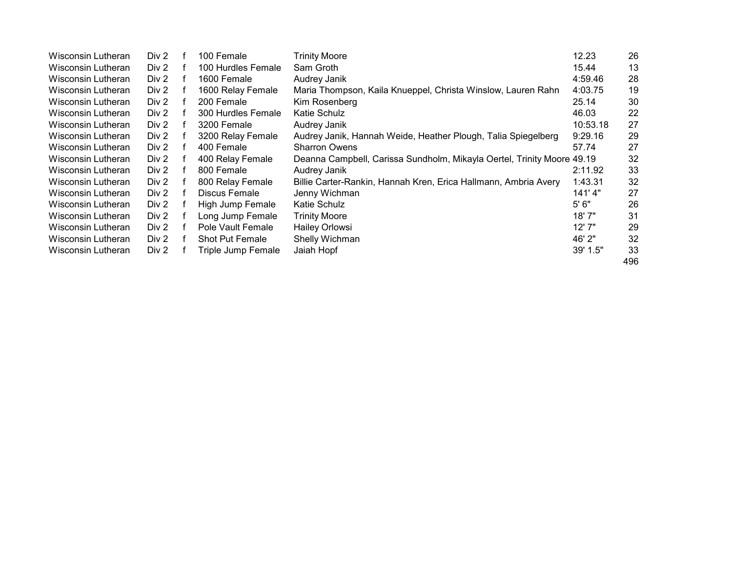| Wisconsin Lutheran | Div 2 | 100 Female             | Trinity Moore                                                          | 12.23    | 26  |
|--------------------|-------|------------------------|------------------------------------------------------------------------|----------|-----|
| Wisconsin Lutheran | Div 2 | 100 Hurdles Female     | Sam Groth                                                              | 15.44    | 13  |
| Wisconsin Lutheran | Div 2 | 1600 Female            | Audrey Janik                                                           | 4:59.46  | 28  |
| Wisconsin Lutheran | Div 2 | 1600 Relay Female      | Maria Thompson, Kaila Knueppel, Christa Winslow, Lauren Rahn           | 4:03.75  | 19  |
| Wisconsin Lutheran | Div 2 | 200 Female             | Kim Rosenberg                                                          | 25.14    | 30  |
| Wisconsin Lutheran | Div 2 | 300 Hurdles Female     | Katie Schulz                                                           | 46.03    | 22  |
| Wisconsin Lutheran | Div 2 | 3200 Female            | Audrey Janik                                                           | 10:53.18 | 27  |
| Wisconsin Lutheran | Div 2 | 3200 Relay Female      | Audrey Janik, Hannah Weide, Heather Plough, Talia Spiegelberg          | 9:29.16  | 29  |
| Wisconsin Lutheran | Div 2 | 400 Female             | <b>Sharron Owens</b>                                                   | 57.74    | 27  |
| Wisconsin Lutheran | Div 2 | 400 Relay Female       | Deanna Campbell, Carissa Sundholm, Mikayla Oertel, Trinity Moore 49.19 |          | 32  |
| Wisconsin Lutheran | Div 2 | 800 Female             | Audrey Janik                                                           | 2:11.92  | 33  |
| Wisconsin Lutheran | Div 2 | 800 Relay Female       | Billie Carter-Rankin, Hannah Kren, Erica Hallmann, Ambria Avery        | 1:43.31  | 32  |
| Wisconsin Lutheran | Div 2 | Discus Female          | Jenny Wichman                                                          | 141'4"   | 27  |
| Wisconsin Lutheran | Div 2 | High Jump Female       | Katie Schulz                                                           | 5'6''    | 26  |
| Wisconsin Lutheran | Div 2 | Long Jump Female       | <b>Trinity Moore</b>                                                   | 18' 7"   | 31  |
| Wisconsin Lutheran | Div 2 | Pole Vault Female      | Hailey Orlowsi                                                         | 12'7"    | 29  |
| Wisconsin Lutheran | Div 2 | <b>Shot Put Female</b> | Shelly Wichman                                                         | 46' 2"   | 32  |
| Wisconsin Lutheran | Div 2 | Triple Jump Female     | Jaiah Hopf                                                             | 39' 1.5" | 33  |
|                    |       |                        |                                                                        |          | 496 |